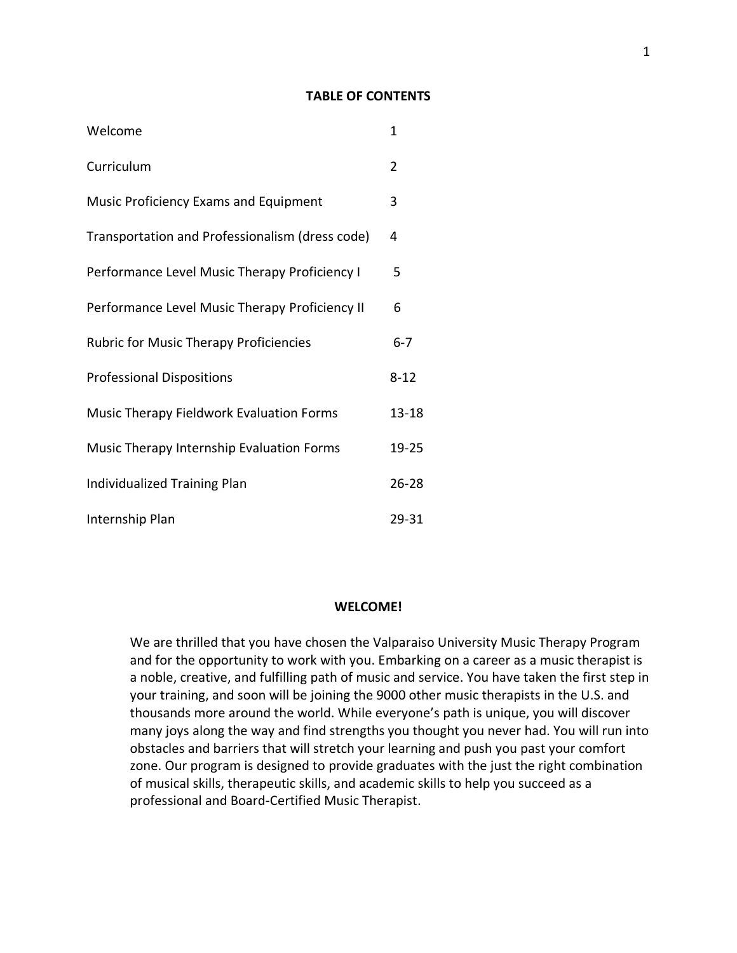# **TABLE OF CONTENTS**

| Welcome                                         | 1         |
|-------------------------------------------------|-----------|
| Curriculum                                      | 2         |
| Music Proficiency Exams and Equipment           | 3         |
| Transportation and Professionalism (dress code) | 4         |
| Performance Level Music Therapy Proficiency I   | 5         |
| Performance Level Music Therapy Proficiency II  | 6         |
| <b>Rubric for Music Therapy Proficiencies</b>   | $6 - 7$   |
| <b>Professional Dispositions</b>                | $8 - 12$  |
| Music Therapy Fieldwork Evaluation Forms        | $13 - 18$ |
| Music Therapy Internship Evaluation Forms       | 19-25     |
| Individualized Training Plan                    | $26 - 28$ |
| Internship Plan                                 | 29-31     |

### **WELCOME!**

We are thrilled that you have chosen the Valparaiso University Music Therapy Program and for the opportunity to work with you. Embarking on a career as a music therapist is a noble, creative, and fulfilling path of music and service. You have taken the first step in your training, and soon will be joining the 9000 other music therapists in the U.S. and thousands more around the world. While everyone's path is unique, you will discover many joys along the way and find strengths you thought you never had. You will run into obstacles and barriers that will stretch your learning and push you past your comfort zone. Our program is designed to provide graduates with the just the right combination of musical skills, therapeutic skills, and academic skills to help you succeed as a professional and Board-Certified Music Therapist.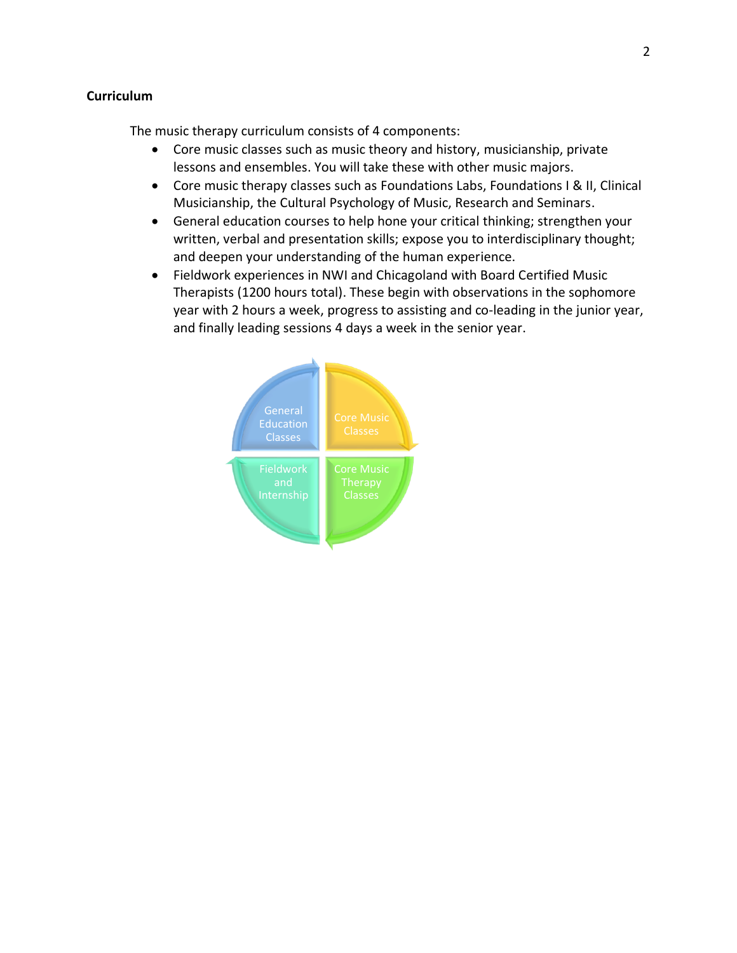# **Curriculum**

The music therapy curriculum consists of 4 components:

- Core music classes such as music theory and history, musicianship, private lessons and ensembles. You will take these with other music majors.
- Core music therapy classes such as Foundations Labs, Foundations I & II, Clinical Musicianship, the Cultural Psychology of Music, Research and Seminars.
- General education courses to help hone your critical thinking; strengthen your written, verbal and presentation skills; expose you to interdisciplinary thought; and deepen your understanding of the human experience.
- Fieldwork experiences in NWI and Chicagoland with Board Certified Music Therapists (1200 hours total). These begin with observations in the sophomore year with 2 hours a week, progress to assisting and co-leading in the junior year, and finally leading sessions 4 days a week in the senior year.

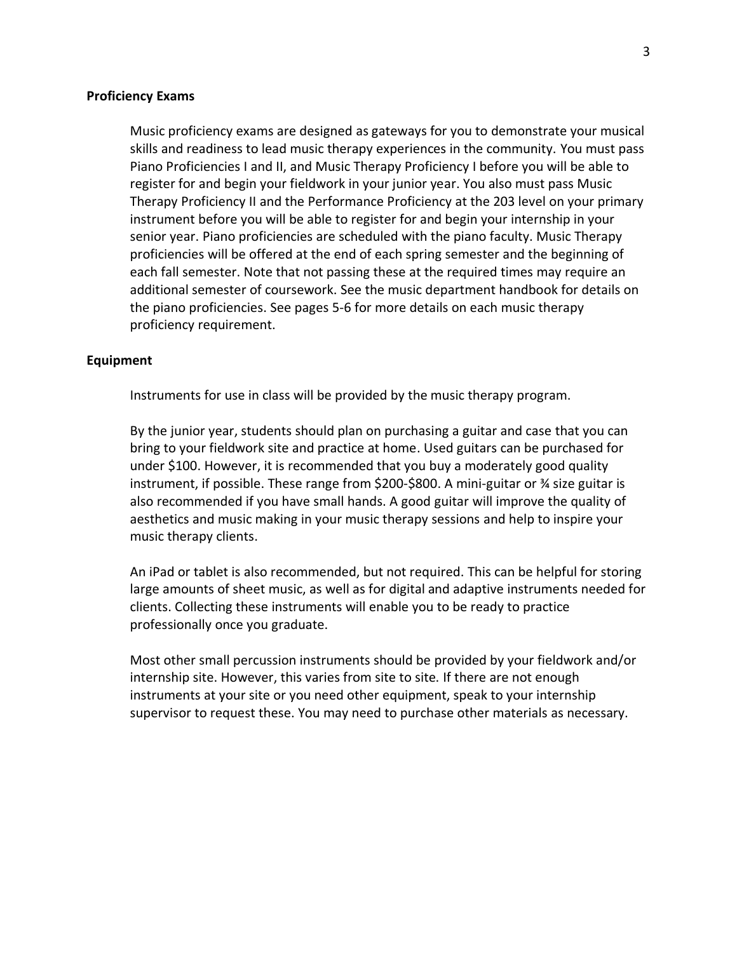# **Proficiency Exams**

Music proficiency exams are designed as gateways for you to demonstrate your musical skills and readiness to lead music therapy experiences in the community. You must pass Piano Proficiencies I and II, and Music Therapy Proficiency I before you will be able to register for and begin your fieldwork in your junior year. You also must pass Music Therapy Proficiency II and the Performance Proficiency at the 203 level on your primary instrument before you will be able to register for and begin your internship in your senior year. Piano proficiencies are scheduled with the piano faculty. Music Therapy proficiencies will be offered at the end of each spring semester and the beginning of each fall semester. Note that not passing these at the required times may require an additional semester of coursework. See the music department handbook for details on the piano proficiencies. See pages 5-6 for more details on each music therapy proficiency requirement.

## **Equipment**

Instruments for use in class will be provided by the music therapy program.

By the junior year, students should plan on purchasing a guitar and case that you can bring to your fieldwork site and practice at home. Used guitars can be purchased for under \$100. However, it is recommended that you buy a moderately good quality instrument, if possible. These range from \$200-\$800. A mini-guitar or ¾ size guitar is also recommended if you have small hands. A good guitar will improve the quality of aesthetics and music making in your music therapy sessions and help to inspire your music therapy clients.

An iPad or tablet is also recommended, but not required. This can be helpful for storing large amounts of sheet music, as well as for digital and adaptive instruments needed for clients. Collecting these instruments will enable you to be ready to practice professionally once you graduate.

Most other small percussion instruments should be provided by your fieldwork and/or internship site. However, this varies from site to site. If there are not enough instruments at your site or you need other equipment, speak to your internship supervisor to request these. You may need to purchase other materials as necessary.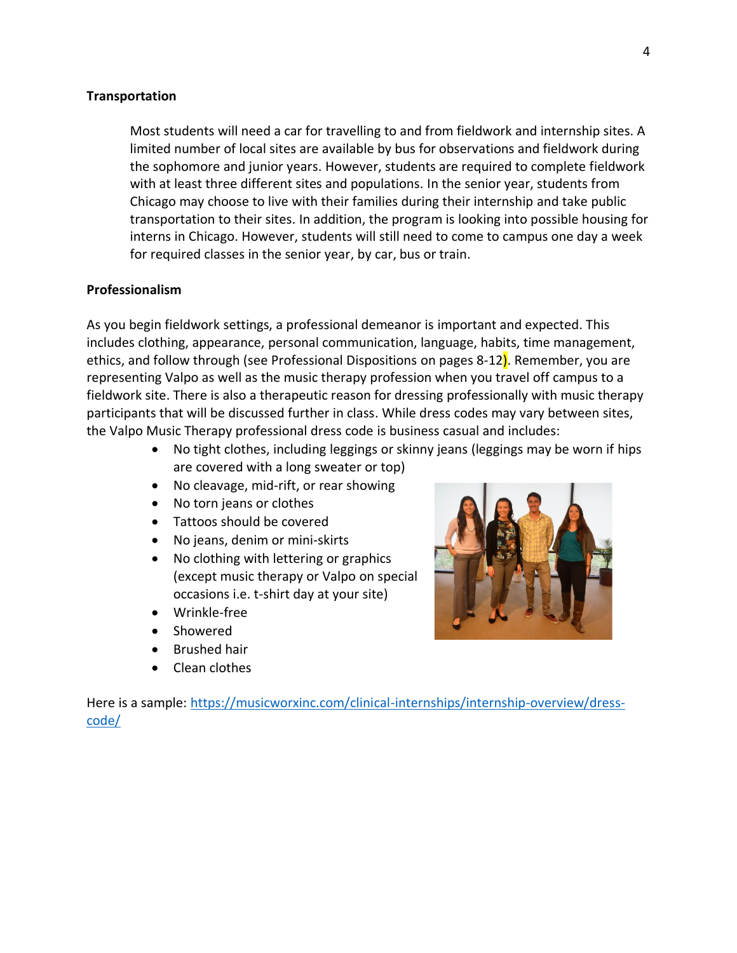# **Transportation**

Most students will need a car for travelling to and from fieldwork and internship sites. A limited number of local sites are available by bus for observations and fieldwork during the sophomore and junior years. However, students are required to complete fieldwork with at least three different sites and populations. In the senior year, students from Chicago may choose to live with their families during their internship and take public transportation to their sites. In addition, the program is looking into possible housing for interns in Chicago. However, students will still need to come to campus one day a week for required classes in the senior year, by car, bus or train.

## **Professionalism**

As you begin fieldwork settings, a professional demeanor is important and expected. This includes clothing, appearance, personal communication, language, habits, time management, ethics, and follow through (see Professional Dispositions on pages 8-12). Remember, you are representing Valpo as well as the music therapy profession when you travel off campus to a fieldwork site. There is also a therapeutic reason for dressing professionally with music therapy participants that will be discussed further in class. While dress codes may vary between sites, the Valpo Music Therapy professional dress code is business casual and includes:

- No tight clothes, including leggings or skinny jeans (leggings may be worn if hips are covered with a long sweater or top)
- No cleavage, mid-rift, or rear showing
- No torn jeans or clothes
- Tattoos should be covered
- No jeans, denim or mini-skirts
- No clothing with lettering or graphics (except music therapy or Valpo on special occasions i.e. t-shirt day at your site)
- Wrinkle-free
- Showered
- Brushed hair
- Clean clothes



Here is a sample: [https://musicworxinc.com/clinical-internships/internship-overview/dress](https://musicworxinc.com/clinical-internships/internship-overview/dress-code/)[code/](https://musicworxinc.com/clinical-internships/internship-overview/dress-code/)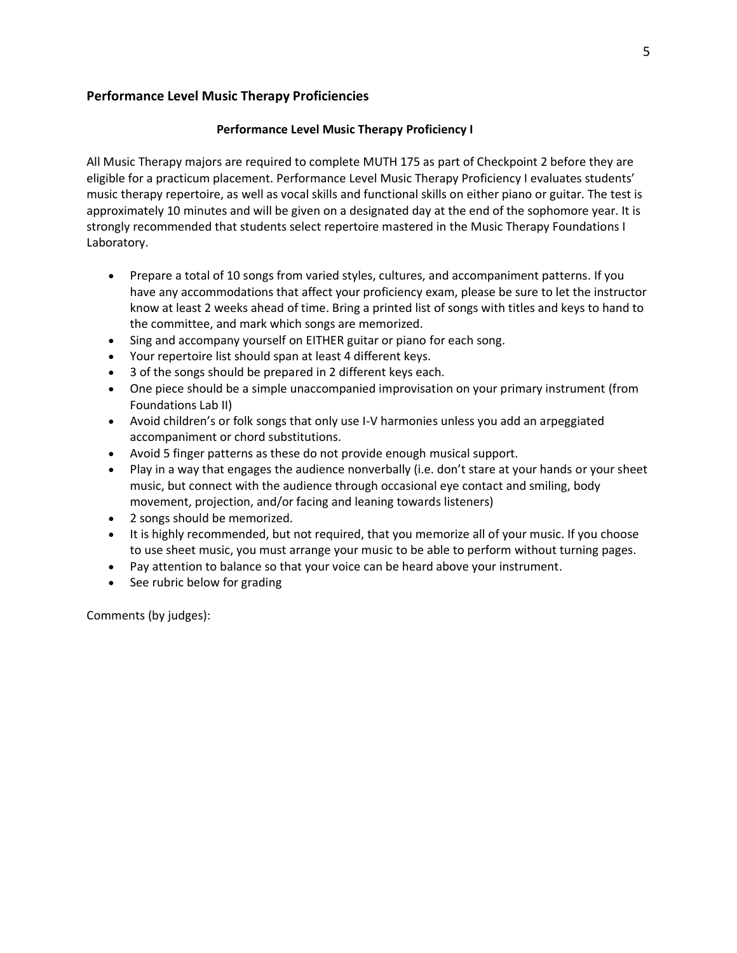# **Performance Level Music Therapy Proficiencies**

# **Performance Level Music Therapy Proficiency I**

All Music Therapy majors are required to complete MUTH 175 as part of Checkpoint 2 before they are eligible for a practicum placement. Performance Level Music Therapy Proficiency I evaluates students' music therapy repertoire, as well as vocal skills and functional skills on either piano or guitar. The test is approximately 10 minutes and will be given on a designated day at the end of the sophomore year. It is strongly recommended that students select repertoire mastered in the Music Therapy Foundations I Laboratory.

- Prepare a total of 10 songs from varied styles, cultures, and accompaniment patterns. If you have any accommodations that affect your proficiency exam, please be sure to let the instructor know at least 2 weeks ahead of time. Bring a printed list of songs with titles and keys to hand to the committee, and mark which songs are memorized.
- Sing and accompany yourself on EITHER guitar or piano for each song.
- Your repertoire list should span at least 4 different keys.
- 3 of the songs should be prepared in 2 different keys each.
- One piece should be a simple unaccompanied improvisation on your primary instrument (from Foundations Lab II)
- Avoid children's or folk songs that only use I-V harmonies unless you add an arpeggiated accompaniment or chord substitutions.
- Avoid 5 finger patterns as these do not provide enough musical support.
- Play in a way that engages the audience nonverbally (i.e. don't stare at your hands or your sheet music, but connect with the audience through occasional eye contact and smiling, body movement, projection, and/or facing and leaning towards listeners)
- 2 songs should be memorized.
- It is highly recommended, but not required, that you memorize all of your music. If you choose to use sheet music, you must arrange your music to be able to perform without turning pages.
- Pay attention to balance so that your voice can be heard above your instrument.
- See rubric below for grading

Comments (by judges):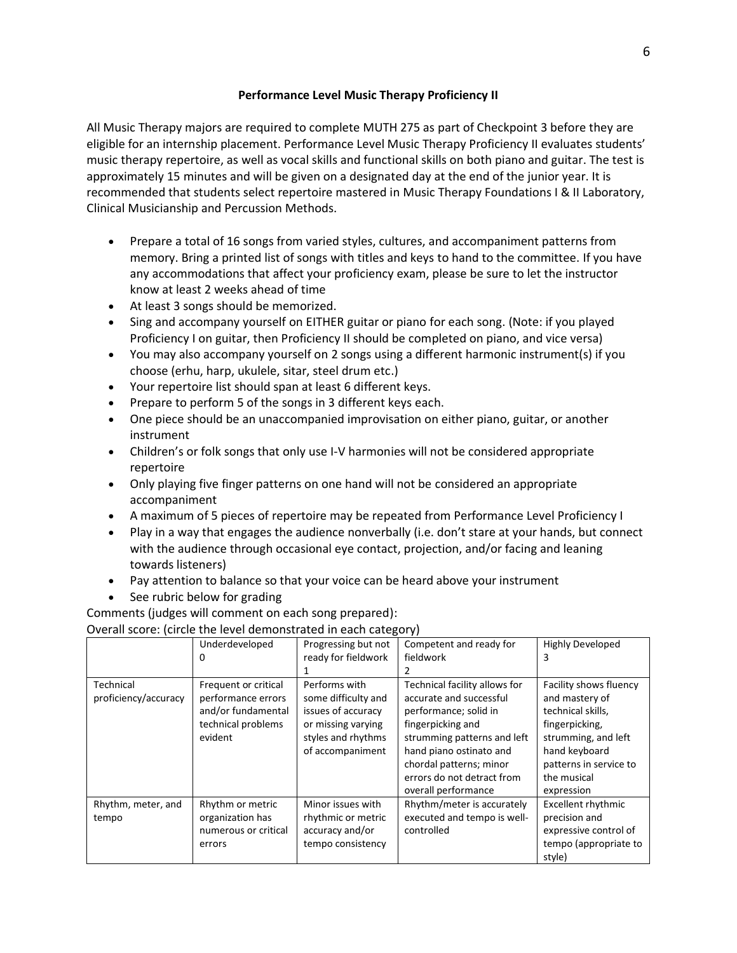# **Performance Level Music Therapy Proficiency II**

All Music Therapy majors are required to complete MUTH 275 as part of Checkpoint 3 before they are eligible for an internship placement. Performance Level Music Therapy Proficiency II evaluates students' music therapy repertoire, as well as vocal skills and functional skills on both piano and guitar. The test is approximately 15 minutes and will be given on a designated day at the end of the junior year. It is recommended that students select repertoire mastered in Music Therapy Foundations I & II Laboratory, Clinical Musicianship and Percussion Methods.

- Prepare a total of 16 songs from varied styles, cultures, and accompaniment patterns from memory. Bring a printed list of songs with titles and keys to hand to the committee. If you have any accommodations that affect your proficiency exam, please be sure to let the instructor know at least 2 weeks ahead of time
- At least 3 songs should be memorized.
- Sing and accompany yourself on EITHER guitar or piano for each song. (Note: if you played Proficiency I on guitar, then Proficiency II should be completed on piano, and vice versa)
- You may also accompany yourself on 2 songs using a different harmonic instrument(s) if you choose (erhu, harp, ukulele, sitar, steel drum etc.)
- Your repertoire list should span at least 6 different keys.
- Prepare to perform 5 of the songs in 3 different keys each.
- One piece should be an unaccompanied improvisation on either piano, guitar, or another instrument
- Children's or folk songs that only use I-V harmonies will not be considered appropriate repertoire
- Only playing five finger patterns on one hand will not be considered an appropriate accompaniment
- A maximum of 5 pieces of repertoire may be repeated from Performance Level Proficiency I
- Play in a way that engages the audience nonverbally (i.e. don't stare at your hands, but connect with the audience through occasional eye contact, projection, and/or facing and leaning towards listeners)
- Pay attention to balance so that your voice can be heard above your instrument
- See rubric below for grading

Comments (judges will comment on each song prepared):

|                      | Underdeveloped       | Progressing but not | Competent and ready for       | <b>Highly Developed</b>   |
|----------------------|----------------------|---------------------|-------------------------------|---------------------------|
|                      | 0                    | ready for fieldwork | fieldwork                     |                           |
|                      |                      |                     |                               |                           |
| Technical            | Frequent or critical | Performs with       | Technical facility allows for | Facility shows fluency    |
| proficiency/accuracy | performance errors   | some difficulty and | accurate and successful       | and mastery of            |
|                      | and/or fundamental   | issues of accuracy  | performance; solid in         | technical skills,         |
|                      | technical problems   | or missing varying  | fingerpicking and             | fingerpicking,            |
|                      | evident              | styles and rhythms  | strumming patterns and left   | strumming, and left       |
|                      |                      | of accompaniment    | hand piano ostinato and       | hand keyboard             |
|                      |                      |                     | chordal patterns; minor       | patterns in service to    |
|                      |                      |                     | errors do not detract from    | the musical               |
|                      |                      |                     | overall performance           | expression                |
| Rhythm, meter, and   | Rhythm or metric     | Minor issues with   | Rhythm/meter is accurately    | <b>Excellent rhythmic</b> |
| tempo                | organization has     | rhythmic or metric  | executed and tempo is well-   | precision and             |
|                      | numerous or critical | accuracy and/or     | controlled                    | expressive control of     |
|                      | errors               | tempo consistency   |                               | tempo (appropriate to     |
|                      |                      |                     |                               | style)                    |

# Overall score: (circle the level demonstrated in each category)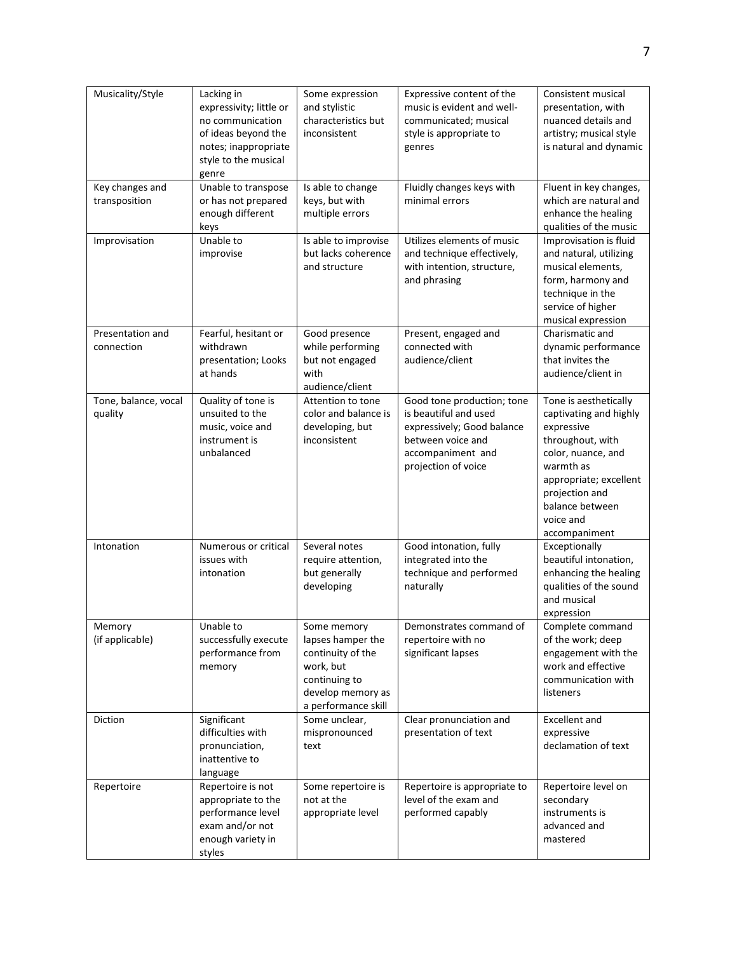| Musicality/Style                 | Lacking in<br>expressivity; little or<br>no communication<br>of ideas beyond the<br>notes; inappropriate<br>style to the musical<br>genre | Some expression<br>and stylistic<br>characteristics but<br>inconsistent                                                         | Expressive content of the<br>music is evident and well-<br>communicated; musical<br>style is appropriate to<br>genres                              | Consistent musical<br>presentation, with<br>nuanced details and<br>artistry; musical style<br>is natural and dynamic                                                                                              |
|----------------------------------|-------------------------------------------------------------------------------------------------------------------------------------------|---------------------------------------------------------------------------------------------------------------------------------|----------------------------------------------------------------------------------------------------------------------------------------------------|-------------------------------------------------------------------------------------------------------------------------------------------------------------------------------------------------------------------|
| Key changes and<br>transposition | Unable to transpose<br>or has not prepared<br>enough different<br>keys                                                                    | Is able to change<br>keys, but with<br>multiple errors                                                                          | Fluidly changes keys with<br>minimal errors                                                                                                        | Fluent in key changes,<br>which are natural and<br>enhance the healing<br>qualities of the music                                                                                                                  |
| Improvisation                    | Unable to<br>improvise                                                                                                                    | Is able to improvise<br>but lacks coherence<br>and structure                                                                    | Utilizes elements of music<br>and technique effectively,<br>with intention, structure,<br>and phrasing                                             | Improvisation is fluid<br>and natural, utilizing<br>musical elements,<br>form, harmony and<br>technique in the<br>service of higher<br>musical expression                                                         |
| Presentation and<br>connection   | Fearful, hesitant or<br>withdrawn<br>presentation; Looks<br>at hands                                                                      | Good presence<br>while performing<br>but not engaged<br>with<br>audience/client                                                 | Present, engaged and<br>connected with<br>audience/client                                                                                          | Charismatic and<br>dynamic performance<br>that invites the<br>audience/client in                                                                                                                                  |
| Tone, balance, vocal<br>quality  | Quality of tone is<br>unsuited to the<br>music, voice and<br>instrument is<br>unbalanced                                                  | Attention to tone<br>color and balance is<br>developing, but<br>inconsistent                                                    | Good tone production; tone<br>is beautiful and used<br>expressively; Good balance<br>between voice and<br>accompaniment and<br>projection of voice | Tone is aesthetically<br>captivating and highly<br>expressive<br>throughout, with<br>color, nuance, and<br>warmth as<br>appropriate; excellent<br>projection and<br>balance between<br>voice and<br>accompaniment |
| Intonation                       | Numerous or critical<br>issues with<br>intonation                                                                                         | Several notes<br>require attention,<br>but generally<br>developing                                                              | Good intonation, fully<br>integrated into the<br>technique and performed<br>naturally                                                              | Exceptionally<br>beautiful intonation,<br>enhancing the healing<br>qualities of the sound<br>and musical<br>expression                                                                                            |
| Memory<br>(if applicable)        | Unable to<br>successfully execute<br>performance from<br>memory                                                                           | Some memory<br>lapses hamper the<br>continuity of the<br>work, but<br>continuing to<br>develop memory as<br>a performance skill | Demonstrates command of<br>repertoire with no<br>significant lapses                                                                                | Complete command<br>of the work; deep<br>engagement with the<br>work and effective<br>communication with<br>listeners                                                                                             |
| Diction                          | Significant<br>difficulties with<br>pronunciation,<br>inattentive to<br>language                                                          | Some unclear,<br>mispronounced<br>text                                                                                          | Clear pronunciation and<br>presentation of text                                                                                                    | <b>Excellent and</b><br>expressive<br>declamation of text                                                                                                                                                         |
| Repertoire                       | Repertoire is not<br>appropriate to the<br>performance level<br>exam and/or not<br>enough variety in<br>styles                            | Some repertoire is<br>not at the<br>appropriate level                                                                           | Repertoire is appropriate to<br>level of the exam and<br>performed capably                                                                         | Repertoire level on<br>secondary<br>instruments is<br>advanced and<br>mastered                                                                                                                                    |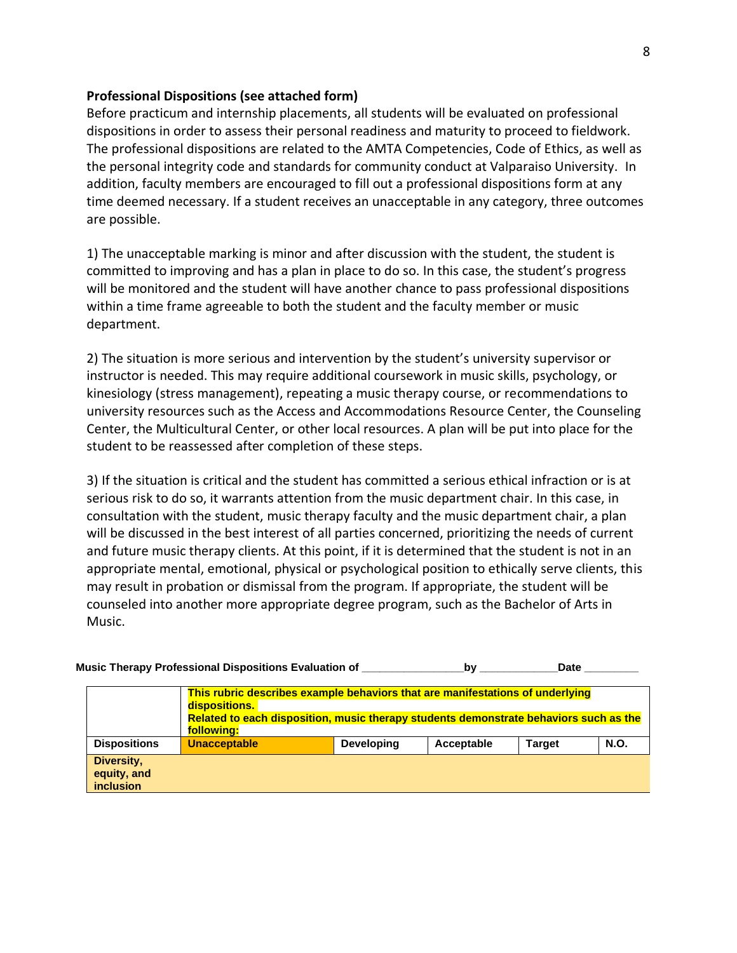# **Professional Dispositions (see attached form)**

Before practicum and internship placements, all students will be evaluated on professional dispositions in order to assess their personal readiness and maturity to proceed to fieldwork. The professional dispositions are related to the AMTA Competencies, Code of Ethics, as well as the personal integrity code and standards for community conduct at Valparaiso University. In addition, faculty members are encouraged to fill out a professional dispositions form at any time deemed necessary. If a student receives an unacceptable in any category, three outcomes are possible.

1) The unacceptable marking is minor and after discussion with the student, the student is committed to improving and has a plan in place to do so. In this case, the student's progress will be monitored and the student will have another chance to pass professional dispositions within a time frame agreeable to both the student and the faculty member or music department.

2) The situation is more serious and intervention by the student's university supervisor or instructor is needed. This may require additional coursework in music skills, psychology, or kinesiology (stress management), repeating a music therapy course, or recommendations to university resources such as the Access and Accommodations Resource Center, the Counseling Center, the Multicultural Center, or other local resources. A plan will be put into place for the student to be reassessed after completion of these steps.

3) If the situation is critical and the student has committed a serious ethical infraction or is at serious risk to do so, it warrants attention from the music department chair. In this case, in consultation with the student, music therapy faculty and the music department chair, a plan will be discussed in the best interest of all parties concerned, prioritizing the needs of current and future music therapy clients. At this point, if it is determined that the student is not in an appropriate mental, emotional, physical or psychological position to ethically serve clients, this may result in probation or dismissal from the program. If appropriate, the student will be counseled into another more appropriate degree program, such as the Bachelor of Arts in Music.

|                                               | Music Therapy Professional Dispositions Evaluation of                                                                                                                                                 |                   | bv         | Date          |             |
|-----------------------------------------------|-------------------------------------------------------------------------------------------------------------------------------------------------------------------------------------------------------|-------------------|------------|---------------|-------------|
|                                               | This rubric describes example behaviors that are manifestations of underlying<br>dispositions.<br>Related to each disposition, music therapy students demonstrate behaviors such as the<br>following: |                   |            |               |             |
| <b>Dispositions</b>                           | <b>Unacceptable</b>                                                                                                                                                                                   | <b>Developing</b> | Acceptable | <b>Target</b> | <b>N.O.</b> |
| Diversity,<br>equity, and<br><i>inclusion</i> |                                                                                                                                                                                                       |                   |            |               |             |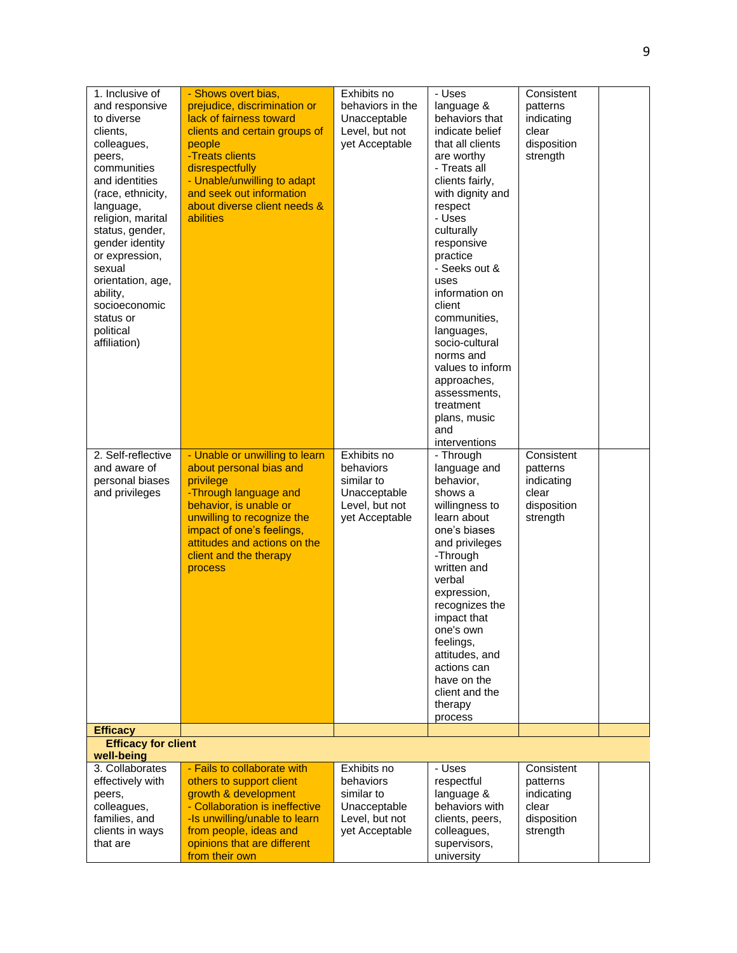| 1. Inclusive of<br>and responsive<br>to diverse<br>clients.<br>colleagues,<br>peers,<br>communities<br>and identities<br>(race, ethnicity,<br>language,<br>religion, marital<br>status, gender,<br>gender identity<br>or expression,<br>sexual<br>orientation, age,<br>ability,<br>socioeconomic<br>status or<br>political<br>affiliation) | - Shows overt bias,<br>prejudice, discrimination or<br>lack of fairness toward<br>clients and certain groups of<br>people<br>-Treats clients<br>disrespectfully<br>- Unable/unwilling to adapt<br>and seek out information<br>about diverse client needs &<br><b>abilities</b> | Exhibits no<br>behaviors in the<br>Unacceptable<br>Level, but not<br>yet Acceptable        | - Uses<br>language &<br>behaviors that<br>indicate belief<br>that all clients<br>are worthy<br>- Treats all<br>clients fairly,<br>with dignity and<br>respect<br>- Uses<br>culturally<br>responsive<br>practice<br>- Seeks out &<br>uses<br>information on<br>client<br>communities,<br>languages,<br>socio-cultural<br>norms and<br>values to inform<br>approaches,<br>assessments.<br>treatment<br>plans, music<br>and<br>interventions | Consistent<br>patterns<br>indicating<br>clear<br>disposition<br>strength |  |
|--------------------------------------------------------------------------------------------------------------------------------------------------------------------------------------------------------------------------------------------------------------------------------------------------------------------------------------------|--------------------------------------------------------------------------------------------------------------------------------------------------------------------------------------------------------------------------------------------------------------------------------|--------------------------------------------------------------------------------------------|-------------------------------------------------------------------------------------------------------------------------------------------------------------------------------------------------------------------------------------------------------------------------------------------------------------------------------------------------------------------------------------------------------------------------------------------|--------------------------------------------------------------------------|--|
| 2. Self-reflective<br>and aware of<br>personal biases<br>and privileges                                                                                                                                                                                                                                                                    | - Unable or unwilling to learn<br>about personal bias and<br>privilege<br>-Through language and<br>behavior, is unable or<br>unwilling to recognize the<br>impact of one's feelings,<br>attitudes and actions on the<br>client and the therapy<br>process                      | Exhibits no<br>behaviors<br>similar to<br>Unacceptable<br>Level, but not<br>yet Acceptable | - Through<br>language and<br>behavior,<br>shows a<br>willingness to<br>learn about<br>one's biases<br>and privileges<br>-Through<br>written and<br>verbal<br>expression,<br>recognizes the<br>impact that<br>one's own<br>feelings,<br>attitudes, and<br>actions can<br>have on the<br>client and the<br>therapy<br>process                                                                                                               | Consistent<br>patterns<br>indicating<br>clear<br>disposition<br>strength |  |
| <b>Efficacy</b><br><b>Efficacy for client</b>                                                                                                                                                                                                                                                                                              |                                                                                                                                                                                                                                                                                |                                                                                            |                                                                                                                                                                                                                                                                                                                                                                                                                                           |                                                                          |  |
| well-being                                                                                                                                                                                                                                                                                                                                 |                                                                                                                                                                                                                                                                                |                                                                                            |                                                                                                                                                                                                                                                                                                                                                                                                                                           |                                                                          |  |
| 3. Collaborates<br>effectively with<br>peers,<br>colleagues,<br>families, and<br>clients in ways<br>that are                                                                                                                                                                                                                               | - Fails to collaborate with<br>others to support client<br>growth & development<br>- Collaboration is ineffective<br>-Is unwilling/unable to learn<br>from people, ideas and<br>opinions that are different<br>from their own                                                  | Exhibits no<br>behaviors<br>similar to<br>Unacceptable<br>Level, but not<br>yet Acceptable | - Uses<br>respectful<br>language &<br>behaviors with<br>clients, peers,<br>colleagues,<br>supervisors,<br>university                                                                                                                                                                                                                                                                                                                      | Consistent<br>patterns<br>indicating<br>clear<br>disposition<br>strength |  |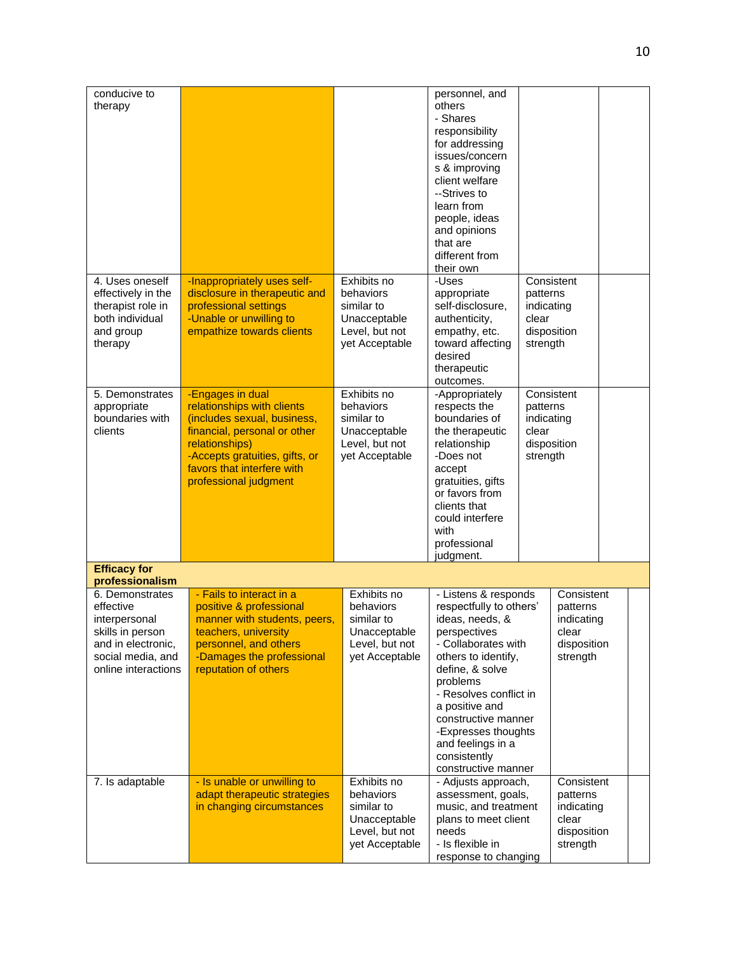| conducive to        |                                |                | personnel, and          |            |             |  |
|---------------------|--------------------------------|----------------|-------------------------|------------|-------------|--|
| therapy             |                                |                | others                  |            |             |  |
|                     |                                |                | - Shares                |            |             |  |
|                     |                                |                | responsibility          |            |             |  |
|                     |                                |                | for addressing          |            |             |  |
|                     |                                |                | issues/concern          |            |             |  |
|                     |                                |                | s & improving           |            |             |  |
|                     |                                |                | client welfare          |            |             |  |
|                     |                                |                | --Strives to            |            |             |  |
|                     |                                |                | learn from              |            |             |  |
|                     |                                |                | people, ideas           |            |             |  |
|                     |                                |                | and opinions            |            |             |  |
|                     |                                |                | that are                |            |             |  |
|                     |                                |                | different from          |            |             |  |
|                     |                                |                | their own               |            |             |  |
|                     |                                |                |                         |            |             |  |
| 4. Uses oneself     | -Inappropriately uses self-    | Exhibits no    | -Uses                   |            | Consistent  |  |
| effectively in the  | disclosure in therapeutic and  | behaviors      | appropriate             | patterns   |             |  |
| therapist role in   | professional settings          | similar to     | self-disclosure,        | indicating |             |  |
| both individual     | -Unable or unwilling to        | Unacceptable   | authenticity,           | clear      |             |  |
| and group           | empathize towards clients      | Level, but not | empathy, etc.           |            | disposition |  |
| therapy             |                                | yet Acceptable | toward affecting        | strength   |             |  |
|                     |                                |                | desired                 |            |             |  |
|                     |                                |                | therapeutic             |            |             |  |
|                     |                                |                | outcomes.               |            |             |  |
| 5. Demonstrates     | -Engages in dual               | Exhibits no    | -Appropriately          |            | Consistent  |  |
| appropriate         | relationships with clients     | behaviors      | respects the            | patterns   |             |  |
| boundaries with     | (includes sexual, business,    | similar to     | boundaries of           | indicating |             |  |
| clients             | financial, personal or other   | Unacceptable   | the therapeutic         | clear      |             |  |
|                     | relationships)                 | Level, but not | relationship            |            | disposition |  |
|                     | -Accepts gratuities, gifts, or | yet Acceptable | -Does not               | strength   |             |  |
|                     | favors that interfere with     |                | accept                  |            |             |  |
|                     | professional judgment          |                | gratuities, gifts       |            |             |  |
|                     |                                |                | or favors from          |            |             |  |
|                     |                                |                | clients that            |            |             |  |
|                     |                                |                | could interfere         |            |             |  |
|                     |                                |                | with                    |            |             |  |
|                     |                                |                | professional            |            |             |  |
|                     |                                |                | judgment.               |            |             |  |
| <b>Efficacy for</b> |                                |                |                         |            |             |  |
| professionalism     |                                |                |                         |            |             |  |
| 6. Demonstrates     | - Fails to interact in a       | Exhibits no    | - Listens & responds    |            | Consistent  |  |
| effective           | positive & professional        | behaviors      | respectfully to others' |            | patterns    |  |
| interpersonal       | manner with students, peers,   | similar to     | ideas, needs, &         |            | indicating  |  |
| skills in person    | teachers, university           | Unacceptable   | perspectives            |            | clear       |  |
| and in electronic,  | personnel, and others          | Level, but not | - Collaborates with     |            | disposition |  |
| social media, and   | -Damages the professional      | yet Acceptable | others to identify,     |            | strength    |  |
| online interactions | reputation of others           |                | define, & solve         |            |             |  |
|                     |                                |                | problems                |            |             |  |
|                     |                                |                | - Resolves conflict in  |            |             |  |
|                     |                                |                | a positive and          |            |             |  |
|                     |                                |                | constructive manner     |            |             |  |
|                     |                                |                | -Expresses thoughts     |            |             |  |
|                     |                                |                | and feelings in a       |            |             |  |
|                     |                                |                |                         |            |             |  |
|                     |                                |                | consistently            |            |             |  |
|                     |                                |                | constructive manner     |            |             |  |
| 7. Is adaptable     | - Is unable or unwilling to    | Exhibits no    | - Adjusts approach,     |            | Consistent  |  |
|                     | adapt therapeutic strategies   | behaviors      | assessment, goals,      |            | patterns    |  |
|                     | in changing circumstances      | similar to     | music, and treatment    |            | indicating  |  |
|                     |                                | Unacceptable   | plans to meet client    |            | clear       |  |
|                     |                                | Level, but not | needs                   |            | disposition |  |
|                     |                                | yet Acceptable | - Is flexible in        |            | strength    |  |
|                     |                                |                | response to changing    |            |             |  |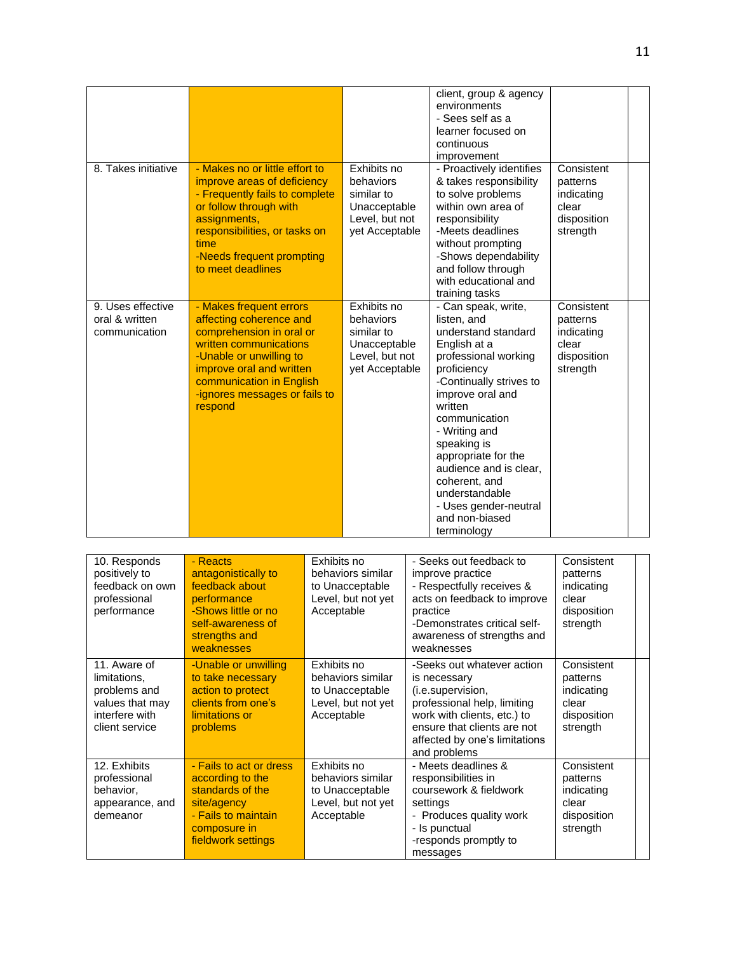|                                                      |                                                                                                                                                                                                                                         |                                                                                            | client, group & agency<br>environments<br>- Sees self as a<br>learner focused on<br>continuous<br>improvement                                                                                                                                                                                                                                                             |                                                                          |
|------------------------------------------------------|-----------------------------------------------------------------------------------------------------------------------------------------------------------------------------------------------------------------------------------------|--------------------------------------------------------------------------------------------|---------------------------------------------------------------------------------------------------------------------------------------------------------------------------------------------------------------------------------------------------------------------------------------------------------------------------------------------------------------------------|--------------------------------------------------------------------------|
| 8. Takes initiative                                  | - Makes no or little effort to<br>improve areas of deficiency<br>- Frequently fails to complete<br>or follow through with<br>assignments,<br>responsibilities, or tasks on<br>time<br>-Needs frequent prompting<br>to meet deadlines    | Exhibits no<br>behaviors<br>similar to<br>Unacceptable<br>Level, but not<br>yet Acceptable | - Proactively identifies<br>& takes responsibility<br>to solve problems<br>within own area of<br>responsibility<br>-Meets deadlines<br>without prompting<br>-Shows dependability<br>and follow through<br>with educational and<br>training tasks                                                                                                                          | Consistent<br>patterns<br>indicating<br>clear<br>disposition<br>strength |
| 9. Uses effective<br>oral & written<br>communication | - Makes frequent errors<br>affecting coherence and<br>comprehension in oral or<br>written communications<br>-Unable or unwilling to<br>improve oral and written<br>communication in English<br>-ignores messages or fails to<br>respond | Exhibits no<br>behaviors<br>similar to<br>Unacceptable<br>Level, but not<br>yet Acceptable | - Can speak, write,<br>listen, and<br>understand standard<br>English at a<br>professional working<br>proficiency<br>-Continually strives to<br>improve oral and<br>written<br>communication<br>- Writing and<br>speaking is<br>appropriate for the<br>audience and is clear,<br>coherent, and<br>understandable<br>- Uses gender-neutral<br>and non-biased<br>terminology | Consistent<br>patterns<br>indicating<br>clear<br>disposition<br>strength |

| 10. Responds<br>positively to<br>feedback on own<br>professional<br>performance                     | - Reacts<br>antagonistically to<br>feedback about<br>performance<br>-Shows little or no<br>self-awareness of<br>strengths and<br>weaknesses | Exhibits no<br>behaviors similar<br>to Unacceptable<br>Level, but not yet<br>Acceptable | - Seeks out feedback to<br>improve practice<br>- Respectfully receives &<br>acts on feedback to improve<br>practice<br>-Demonstrates critical self-<br>awareness of strengths and<br>weaknesses               | Consistent<br>patterns<br>indicating<br>clear<br>disposition<br>strength |  |
|-----------------------------------------------------------------------------------------------------|---------------------------------------------------------------------------------------------------------------------------------------------|-----------------------------------------------------------------------------------------|---------------------------------------------------------------------------------------------------------------------------------------------------------------------------------------------------------------|--------------------------------------------------------------------------|--|
| 11. Aware of<br>limitations,<br>problems and<br>values that may<br>interfere with<br>client service | -Unable or unwilling<br>to take necessary<br>action to protect<br>clients from one's<br>limitations or<br>problems                          | Exhibits no<br>behaviors similar<br>to Unacceptable<br>Level, but not yet<br>Acceptable | -Seeks out whatever action<br>is necessary<br>(i.e.supervision,<br>professional help, limiting<br>work with clients, etc.) to<br>ensure that clients are not<br>affected by one's limitations<br>and problems | Consistent<br>patterns<br>indicating<br>clear<br>disposition<br>strength |  |
| 12. Exhibits<br>professional<br>behavior,<br>appearance, and<br>demeanor                            | - Fails to act or dress<br>according to the<br>standards of the<br>site/agency<br>- Fails to maintain<br>composure in<br>fieldwork settings | Exhibits no<br>behaviors similar<br>to Unacceptable<br>Level, but not yet<br>Acceptable | - Meets deadlines &<br>responsibilities in<br>coursework & fieldwork<br>settings<br>- Produces quality work<br>- Is punctual<br>-responds promptly to<br>messages                                             | Consistent<br>patterns<br>indicating<br>clear<br>disposition<br>strength |  |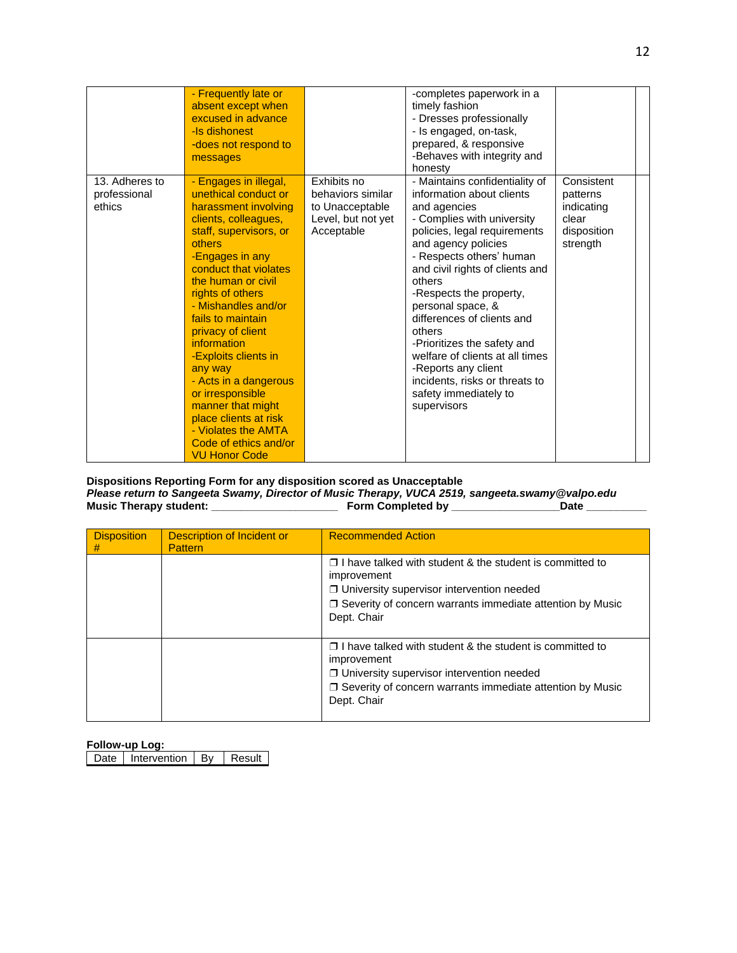|                                          | - Frequently late or<br>absent except when<br>excused in advance<br>-Is dishonest<br>-does not respond to<br>messages                                                                                                                                                                                                                                                                                                                                                                                         |                                                                                         | -completes paperwork in a<br>timely fashion<br>- Dresses professionally<br>- Is engaged, on-task,<br>prepared, & responsive<br>-Behaves with integrity and<br>honesty                                                                                                                                                                                                                                                                                                                                |                                                                          |  |
|------------------------------------------|---------------------------------------------------------------------------------------------------------------------------------------------------------------------------------------------------------------------------------------------------------------------------------------------------------------------------------------------------------------------------------------------------------------------------------------------------------------------------------------------------------------|-----------------------------------------------------------------------------------------|------------------------------------------------------------------------------------------------------------------------------------------------------------------------------------------------------------------------------------------------------------------------------------------------------------------------------------------------------------------------------------------------------------------------------------------------------------------------------------------------------|--------------------------------------------------------------------------|--|
| 13. Adheres to<br>professional<br>ethics | - Engages in illegal,<br>unethical conduct or<br>harassment involving<br>clients, colleagues,<br>staff, supervisors, or<br>others<br>-Engages in any<br>conduct that violates<br>the human or civil<br>rights of others<br>- Mishandles and/or<br>fails to maintain<br>privacy of client<br>information<br>-Exploits clients in<br>any way<br>- Acts in a dangerous<br>or irresponsible<br>manner that might<br>place clients at risk<br>- Violates the AMTA<br>Code of ethics and/or<br><b>VU Honor Code</b> | Exhibits no<br>behaviors similar<br>to Unacceptable<br>Level, but not yet<br>Acceptable | - Maintains confidentiality of<br>information about clients<br>and agencies<br>- Complies with university<br>policies, legal requirements<br>and agency policies<br>- Respects others' human<br>and civil rights of clients and<br>others<br>-Respects the property,<br>personal space, &<br>differences of clients and<br>others<br>-Prioritizes the safety and<br>welfare of clients at all times<br>-Reports any client<br>incidents, risks or threats to<br>safety immediately to<br>supervisors | Consistent<br>patterns<br>indicating<br>clear<br>disposition<br>strength |  |

## **Dispositions Reporting Form for any disposition scored as Unacceptable** *Please return to Sangeeta Swamy, Director of Music Therapy, VUCA 2519, sangeeta.swamy@valpo.edu* **Music Therapy student: \_\_\_\_\_\_\_\_\_\_\_\_\_\_\_\_\_\_\_\_\_ Form Completed by \_\_\_\_\_\_\_\_\_\_\_\_\_\_\_\_\_\_Date \_\_\_\_\_\_\_\_\_\_**

| <b>Disposition</b><br># | Description of Incident or<br><b>Pattern</b> | <b>Recommended Action</b>                                                                                                                                                                                             |
|-------------------------|----------------------------------------------|-----------------------------------------------------------------------------------------------------------------------------------------------------------------------------------------------------------------------|
|                         |                                              | $\Box$ I have talked with student & the student is committed to<br>improvement<br>$\Box$ University supervisor intervention needed<br>$\Box$ Severity of concern warrants immediate attention by Music<br>Dept. Chair |
|                         |                                              | $\Box$ I have talked with student & the student is committed to<br>improvement<br>$\Box$ University supervisor intervention needed<br>$\Box$ Severity of concern warrants immediate attention by Music<br>Dept. Chair |

## **Follow-up Log:**

Date | Intervention | By | Result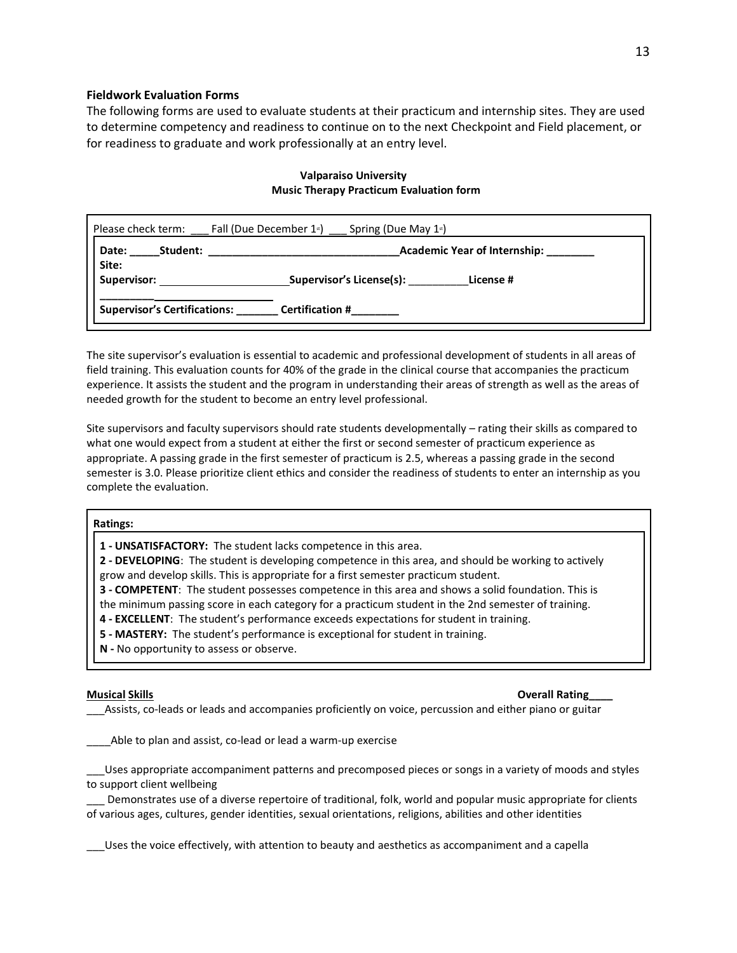## **Fieldwork Evaluation Forms**

The following forms are used to evaluate students at their practicum and internship sites. They are used to determine competency and readiness to continue on to the next Checkpoint and Field placement, or for readiness to graduate and work professionally at an entry level.

| Please check term:                  |          | Fall (Due December 1 <sup>st</sup> ) Spring (Due May 1 <sup>st</sup> ) |
|-------------------------------------|----------|------------------------------------------------------------------------|
| Date:<br>Site:                      | Student: | Academic Year of Internship: _______                                   |
| Supervisor:                         |          | Supervisor's License(s):<br>License #                                  |
| <b>Supervisor's Certifications:</b> |          | <b>Certification #</b>                                                 |

# **Valparaiso University Music Therapy Practicum Evaluation form**

The site supervisor's evaluation is essential to academic and professional development of students in all areas of field training. This evaluation counts for 40% of the grade in the clinical course that accompanies the practicum experience. It assists the student and the program in understanding their areas of strength as well as the areas of needed growth for the student to become an entry level professional.

Site supervisors and faculty supervisors should rate students developmentally – rating their skills as compared to what one would expect from a student at either the first or second semester of practicum experience as appropriate. A passing grade in the first semester of practicum is 2.5, whereas a passing grade in the second semester is 3.0. Please prioritize client ethics and consider the readiness of students to enter an internship as you complete the evaluation.

#### **Ratings:**

**1 - UNSATISFACTORY:** The student lacks competence in this area.

**2 - DEVELOPING**: The student is developing competence in this area, and should be working to actively grow and develop skills. This is appropriate for a first semester practicum student.

**3 - COMPETENT**: The student possesses competence in this area and shows a solid foundation. This is

the minimum passing score in each category for a practicum student in the 2nd semester of training.

**4 - EXCELLENT**: The student's performance exceeds expectations for student in training.

**5 - MASTERY:** The student's performance is exceptional for student in training.

**N -** No opportunity to assess or observe.

### **Musical Skills Overall Rating\_\_\_\_**

\_\_\_Assists, co-leads or leads and accompanies proficiently on voice, percussion and either piano or guitar

\_\_\_\_Able to plan and assist, co-lead or lead a warm-up exercise

\_\_\_Uses appropriate accompaniment patterns and precomposed pieces or songs in a variety of moods and styles to support client wellbeing

Demonstrates use of a diverse repertoire of traditional, folk, world and popular music appropriate for clients of various ages, cultures, gender identities, sexual orientations, religions, abilities and other identities

\_\_\_Uses the voice effectively, with attention to beauty and aesthetics as accompaniment and a capella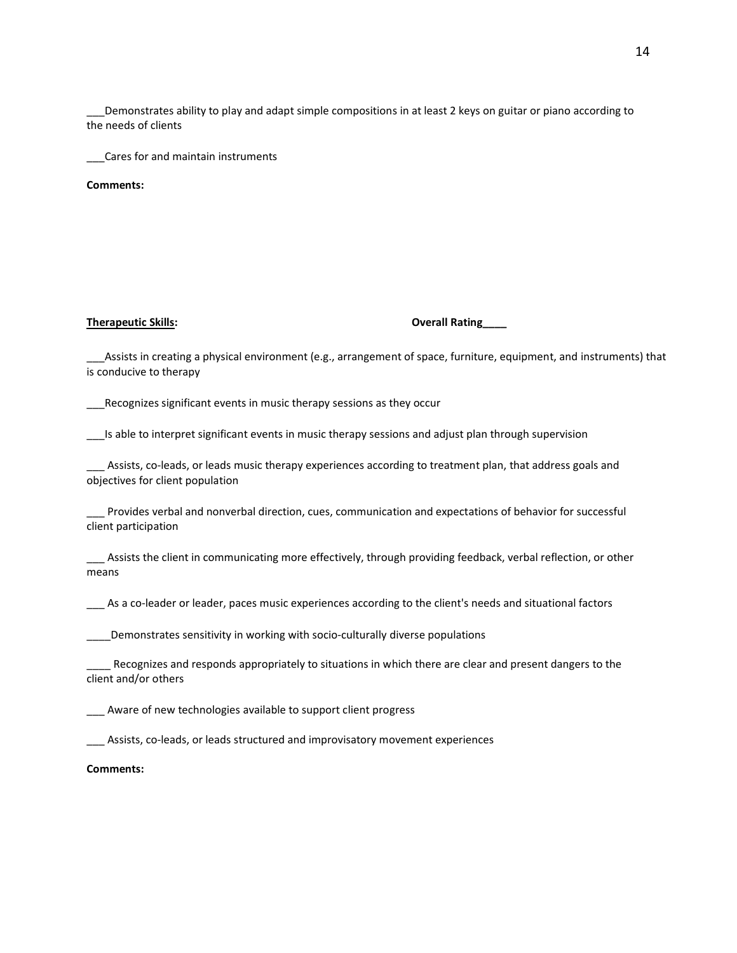\_\_\_Demonstrates ability to play and adapt simple compositions in at least 2 keys on guitar or piano according to the needs of clients

\_\_\_Cares for and maintain instruments

**Comments:**

### **Therapeutic Skills: Overall Rating\_\_\_\_**

\_\_\_Assists in creating a physical environment (e.g., arrangement of space, furniture, equipment, and instruments) that is conducive to therapy

\_\_\_Recognizes significant events in music therapy sessions as they occur

\_\_\_Is able to interpret significant events in music therapy sessions and adjust plan through supervision

Assists, co-leads, or leads music therapy experiences according to treatment plan, that address goals and objectives for client population

Provides verbal and nonverbal direction, cues, communication and expectations of behavior for successful client participation

\_\_\_ Assists the client in communicating more effectively, through providing feedback, verbal reflection, or other means

\_\_\_ As a co-leader or leader, paces music experiences according to the client's needs and situational factors

\_\_\_\_Demonstrates sensitivity in working with socio-culturally diverse populations

\_\_\_\_ Recognizes and responds appropriately to situations in which there are clear and present dangers to the client and/or others

Aware of new technologies available to support client progress

\_\_\_ Assists, co-leads, or leads structured and improvisatory movement experiences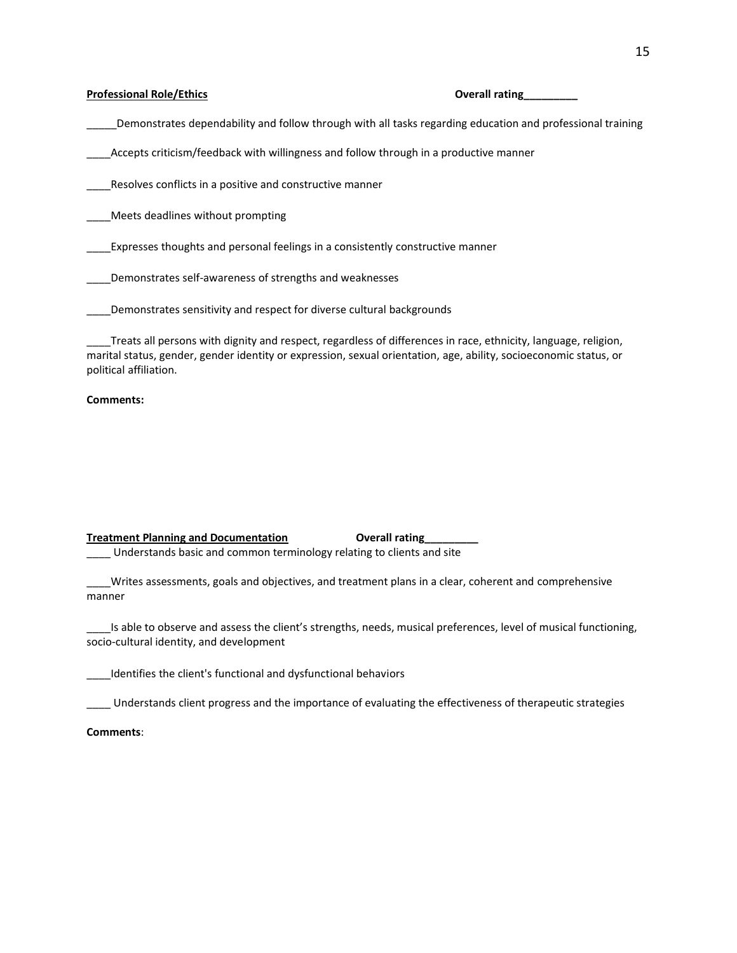### **Professional Role/Ethics Coverall rating Coverall rating Coverall rating Coverall rating Coverall rating Coverall rating Coverall rating Coverall rating Coverall rating Coverall rating Coverall rating Coverall rating Cove**

\_\_\_\_\_Demonstrates dependability and follow through with all tasks regarding education and professional training

\_\_\_\_Accepts criticism/feedback with willingness and follow through in a productive manner

Resolves conflicts in a positive and constructive manner

\_\_\_\_Meets deadlines without prompting

\_\_\_\_Expresses thoughts and personal feelings in a consistently constructive manner

\_\_\_\_Demonstrates self-awareness of strengths and weaknesses

\_\_\_\_Demonstrates sensitivity and respect for diverse cultural backgrounds

\_\_\_\_Treats all persons with dignity and respect, regardless of differences in race, ethnicity, language, religion, marital status, gender, gender identity or expression, sexual orientation, age, ability, socioeconomic status, or political affiliation.

#### **Comments:**

## **Treatment Planning and Documentation Coverall rating** \_\_\_\_ Understands basic and common terminology relating to clients and site

\_\_\_\_Writes assessments, goals and objectives, and treatment plans in a clear, coherent and comprehensive manner

\_\_\_\_Is able to observe and assess the client's strengths, needs, musical preferences, level of musical functioning, socio-cultural identity, and development

\_\_\_\_Identifies the client's functional and dysfunctional behaviors

\_\_\_\_ Understands client progress and the importance of evaluating the effectiveness of therapeutic strategies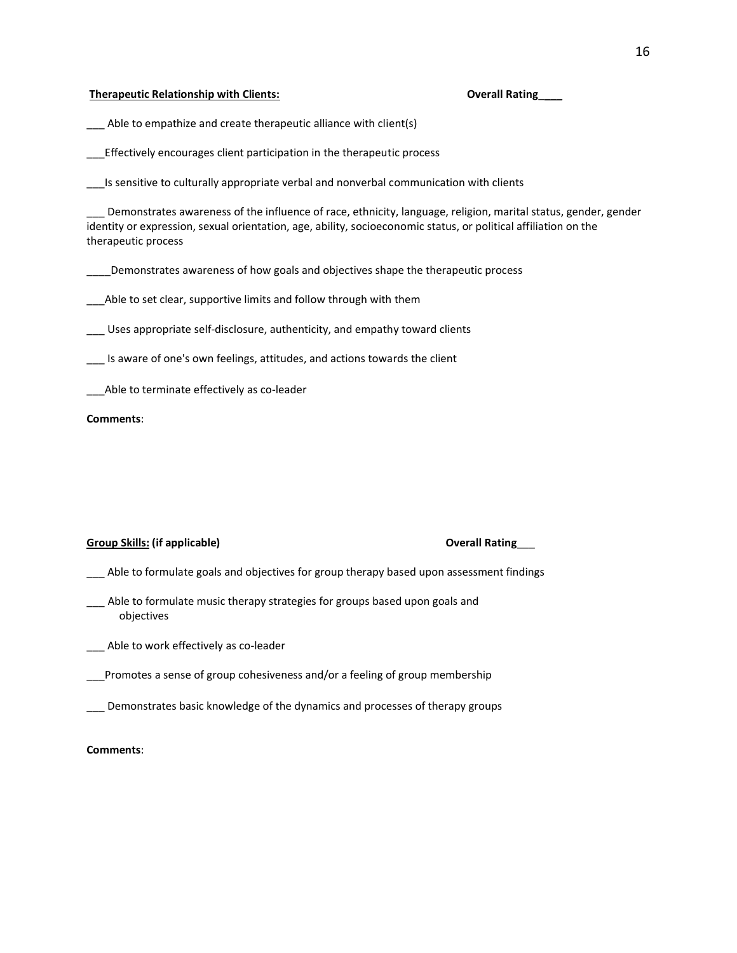#### **Therapeutic Relationship with Clients: Overall Rating**\_\_\_\_

\_\_\_ Able to empathize and create therapeutic alliance with client(s)

\_\_\_Effectively encourages client participation in the therapeutic process

Is sensitive to culturally appropriate verbal and nonverbal communication with clients

Demonstrates awareness of the influence of race, ethnicity, language, religion, marital status, gender, gender identity or expression, sexual orientation, age, ability, socioeconomic status, or political affiliation on the therapeutic process

\_\_\_\_Demonstrates awareness of how goals and objectives shape the therapeutic process

\_\_\_Able to set clear, supportive limits and follow through with them

\_\_\_ Uses appropriate self-disclosure, authenticity, and empathy toward clients

\_\_\_ Is aware of one's own feelings, attitudes, and actions towards the client

Able to terminate effectively as co-leader

#### **Comments**:

## **Group Skills: (if applicable) Overall Rating**\_\_\_

- \_\_\_ Able to formulate goals and objectives for group therapy based upon assessment findings
- \_\_\_ Able to formulate music therapy strategies for groups based upon goals and objectives
- \_\_\_ Able to work effectively as co-leader

\_\_\_Promotes a sense of group cohesiveness and/or a feeling of group membership

\_\_\_ Demonstrates basic knowledge of the dynamics and processes of therapy groups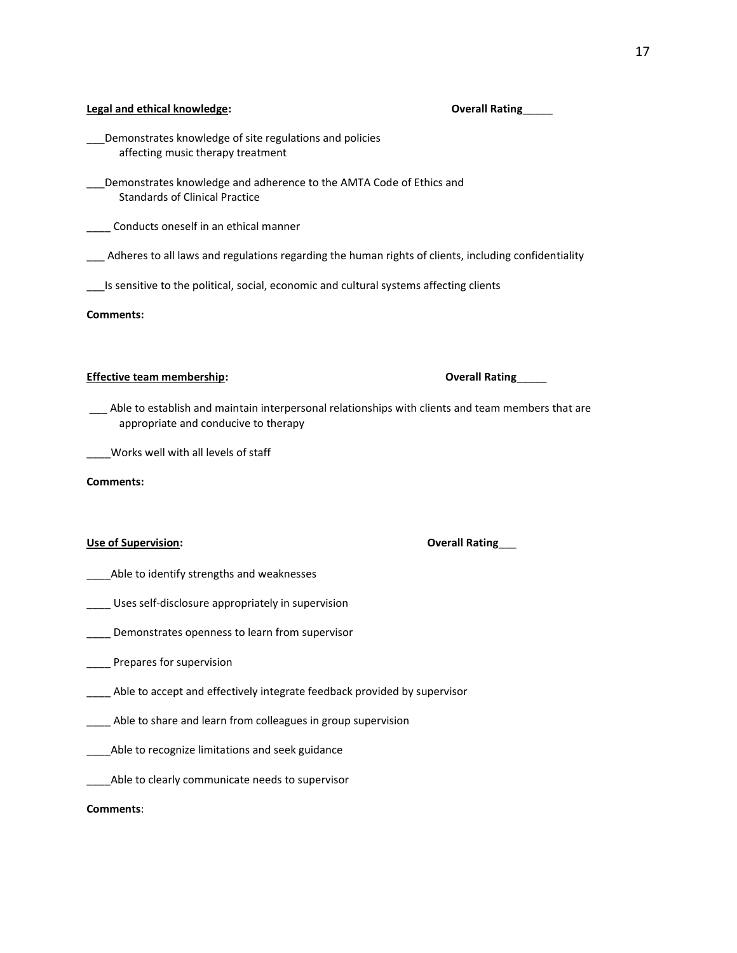## **Legal and ethical knowledge: Overall Rating**\_\_\_\_\_

- \_\_\_Demonstrates knowledge of site regulations and policies affecting music therapy treatment
- Demonstrates knowledge and adherence to the AMTA Code of Ethics and Standards of Clinical Practice
- **\_\_\_\_** Conducts oneself in an ethical manner
- \_\_\_ Adheres to all laws and regulations regarding the human rights of clients, including confidentiality
- \_\_\_Is sensitive to the political, social, economic and cultural systems affecting clients

**Comments:**

## **Effective team membership: Overall Rating**\_\_\_\_\_

\_\_\_ Able to establish and maintain interpersonal relationships with clients and team members that are appropriate and conducive to therapy

\_\_\_\_Works well with all levels of staff

#### **Comments:**

## **Use of Supervision: Overall Rating**\_\_\_

- \_\_\_\_Able to identify strengths and weaknesses
- \_\_\_\_ Uses self-disclosure appropriately in supervision
- **LETT** Demonstrates openness to learn from supervisor
- \_\_\_\_ Prepares for supervision
- \_\_\_\_ Able to accept and effectively integrate feedback provided by supervisor
- \_\_\_\_ Able to share and learn from colleagues in group supervision
- \_\_\_\_Able to recognize limitations and seek guidance
- \_\_\_\_Able to clearly communicate needs to supervisor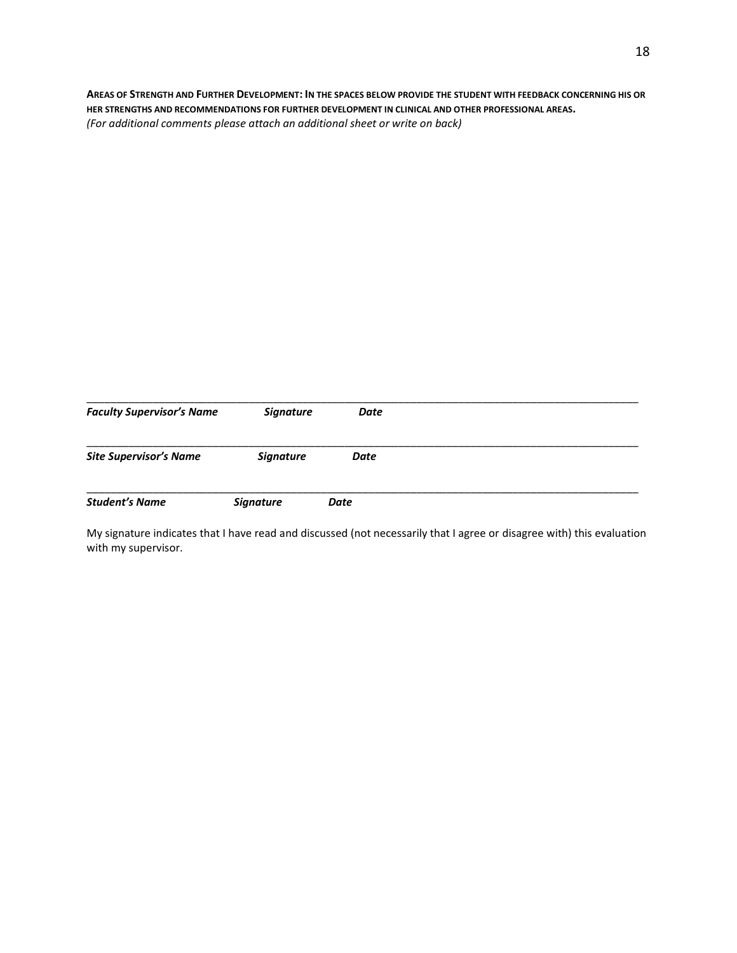**AREAS OF STRENGTH AND FURTHER DEVELOPMENT: IN THE SPACES BELOW PROVIDE THE STUDENT WITH FEEDBACK CONCERNING HIS OR HER STRENGTHS AND RECOMMENDATIONS FOR FURTHER DEVELOPMENT IN CLINICAL AND OTHER PROFESSIONAL AREAS.** *(For additional comments please attach an additional sheet or write on back)*

| <b>Faculty Supervisor's Name</b> | <b>Signature</b> | Date |
|----------------------------------|------------------|------|
| <b>Site Supervisor's Name</b>    | <b>Signature</b> | Date |
| <b>Student's Name</b>            | <b>Signature</b> | Date |

My signature indicates that I have read and discussed (not necessarily that I agree or disagree with) this evaluation with my supervisor.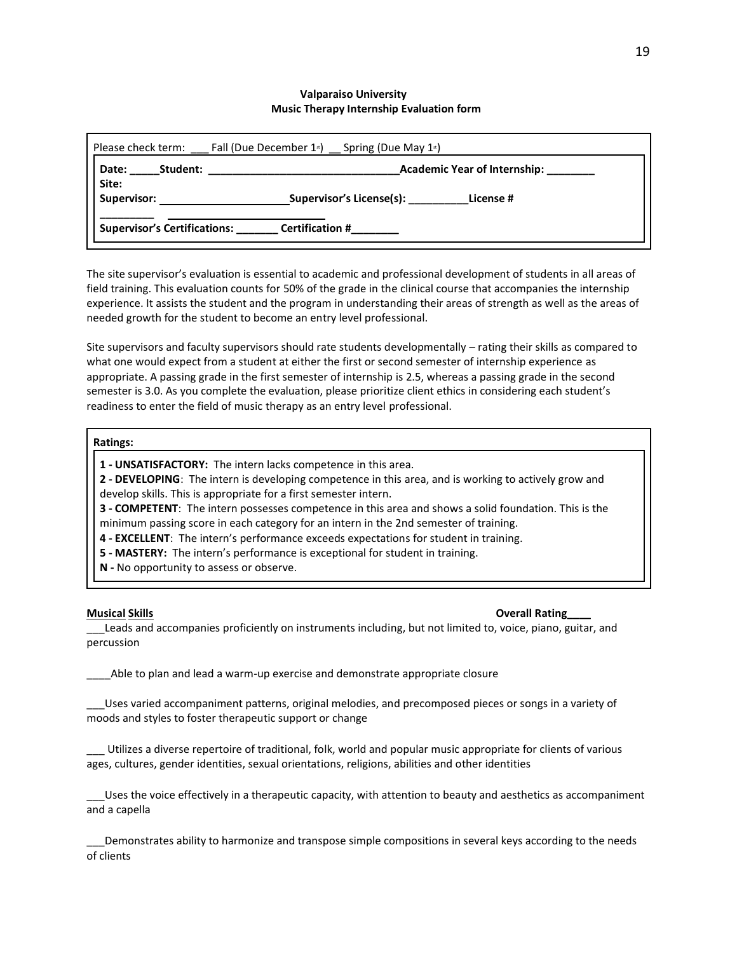## **Valparaiso University Music Therapy Internship Evaluation form**

| Fall (Due December 1 <sup>st</sup> ) Spring (Due May 1 <sup>st</sup> )<br>Please check term: |                                       |  |  |
|----------------------------------------------------------------------------------------------|---------------------------------------|--|--|
| <b>Academic Year of Internship:</b><br>Student:<br>Date:                                     |                                       |  |  |
| Site:<br>Supervisor:                                                                         | Supervisor's License(s):<br>License # |  |  |
| <b>Supervisor's Certifications:</b>                                                          | <b>Certification #</b>                |  |  |

The site supervisor's evaluation is essential to academic and professional development of students in all areas of field training. This evaluation counts for 50% of the grade in the clinical course that accompanies the internship experience. It assists the student and the program in understanding their areas of strength as well as the areas of needed growth for the student to become an entry level professional.

Site supervisors and faculty supervisors should rate students developmentally – rating their skills as compared to what one would expect from a student at either the first or second semester of internship experience as appropriate. A passing grade in the first semester of internship is 2.5, whereas a passing grade in the second semester is 3.0. As you complete the evaluation, please prioritize client ethics in considering each student's readiness to enter the field of music therapy as an entry level professional.

### **Ratings:**

**1 - UNSATISFACTORY:** The intern lacks competence in this area.

**2 - DEVELOPING**: The intern is developing competence in this area, and is working to actively grow and

develop skills. This is appropriate for a first semester intern.

**3 - COMPETENT**: The intern possesses competence in this area and shows a solid foundation. This is the minimum passing score in each category for an intern in the 2nd semester of training.

**4 - EXCELLENT**: The intern's performance exceeds expectations for student in training.

**5 - MASTERY:** The intern's performance is exceptional for student in training.

**N -** No opportunity to assess or observe.

**Musical Skills Overall Rating\_\_\_\_**

\_\_\_Leads and accompanies proficiently on instruments including, but not limited to, voice, piano, guitar, and percussion

\_\_\_\_Able to plan and lead a warm-up exercise and demonstrate appropriate closure

\_\_\_Uses varied accompaniment patterns, original melodies, and precomposed pieces or songs in a variety of moods and styles to foster therapeutic support or change

\_\_\_ Utilizes a diverse repertoire of traditional, folk, world and popular music appropriate for clients of various ages, cultures, gender identities, sexual orientations, religions, abilities and other identities

\_\_\_Uses the voice effectively in a therapeutic capacity, with attention to beauty and aesthetics as accompaniment and a capella

Demonstrates ability to harmonize and transpose simple compositions in several keys according to the needs of clients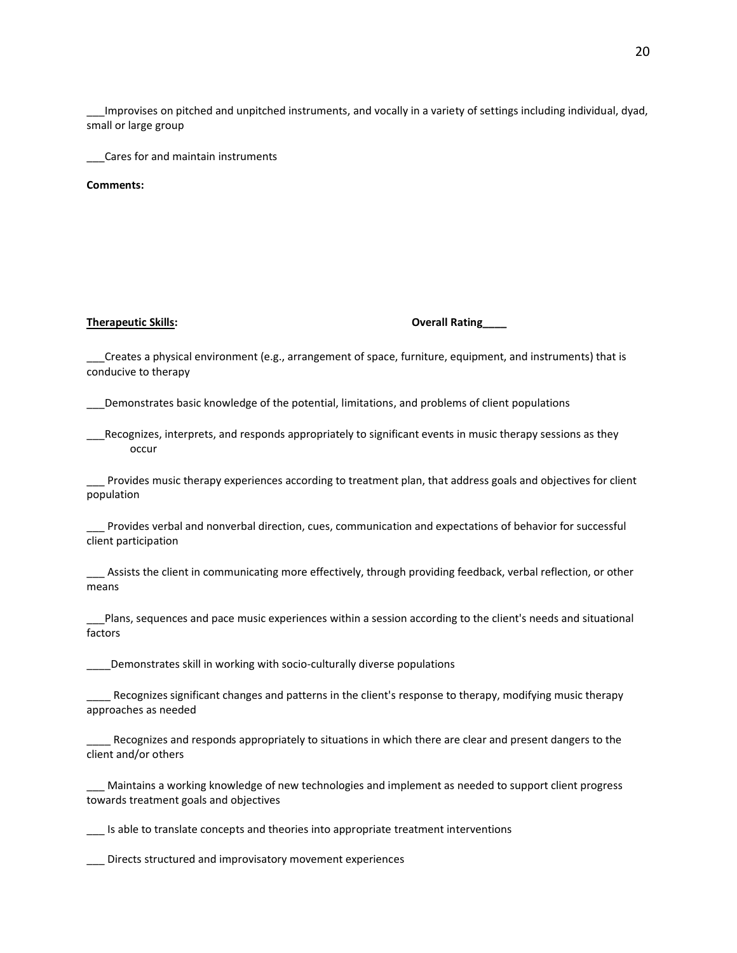\_\_\_Improvises on pitched and unpitched instruments, and vocally in a variety of settings including individual, dyad, small or large group

\_\_\_Cares for and maintain instruments

**Comments:**

### **Therapeutic Skills: Overall Rating\_\_\_\_**

\_\_\_Creates a physical environment (e.g., arrangement of space, furniture, equipment, and instruments) that is conducive to therapy

\_\_\_Demonstrates basic knowledge of the potential, limitations, and problems of client populations

Recognizes, interprets, and responds appropriately to significant events in music therapy sessions as they occur

Provides music therapy experiences according to treatment plan, that address goals and objectives for client population

\_\_\_ Provides verbal and nonverbal direction, cues, communication and expectations of behavior for successful client participation

\_\_\_ Assists the client in communicating more effectively, through providing feedback, verbal reflection, or other means

\_\_\_Plans, sequences and pace music experiences within a session according to the client's needs and situational factors

Demonstrates skill in working with socio-culturally diverse populations

\_\_\_\_ Recognizes significant changes and patterns in the client's response to therapy, modifying music therapy approaches as needed

Recognizes and responds appropriately to situations in which there are clear and present dangers to the client and/or others

\_\_\_ Maintains a working knowledge of new technologies and implement as needed to support client progress towards treatment goals and objectives

\_\_\_ Is able to translate concepts and theories into appropriate treatment interventions

\_\_\_ Directs structured and improvisatory movement experiences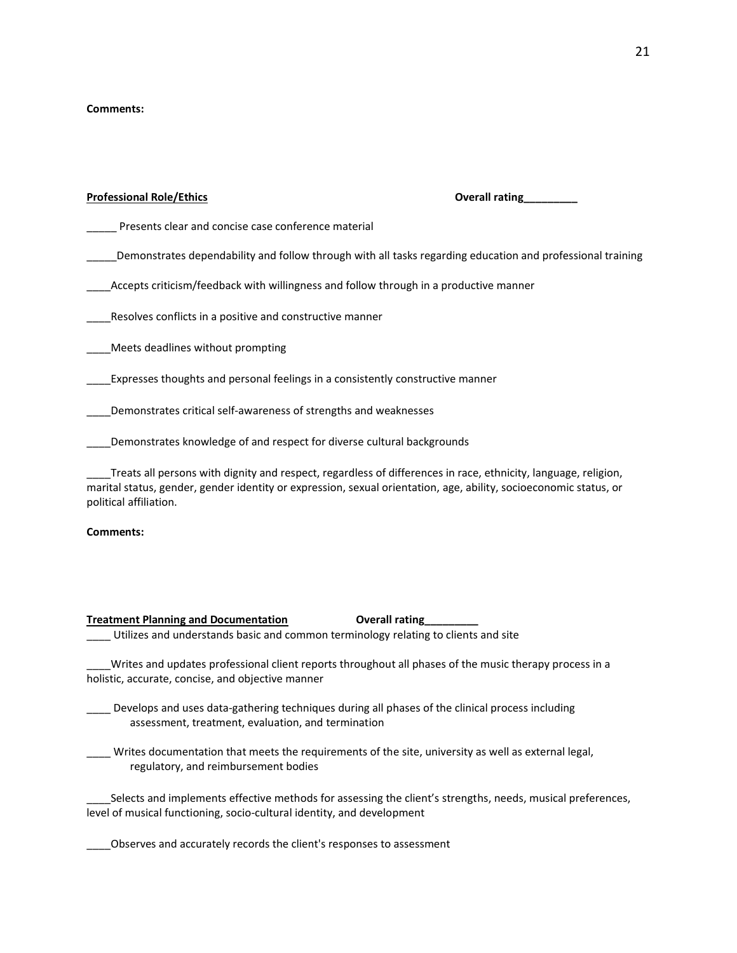## **Comments:**

| <b>Professional Role/Ethics</b>                                                       | Overall rating                                                                                                 |
|---------------------------------------------------------------------------------------|----------------------------------------------------------------------------------------------------------------|
| Presents clear and concise case conference material                                   |                                                                                                                |
|                                                                                       | Demonstrates dependability and follow through with all tasks regarding education and professional training     |
| Accepts criticism/feedback with willingness and follow through in a productive manner |                                                                                                                |
| Resolves conflicts in a positive and constructive manner                              |                                                                                                                |
| Meets deadlines without prompting                                                     |                                                                                                                |
| Expresses thoughts and personal feelings in a consistently constructive manner        |                                                                                                                |
| Demonstrates critical self-awareness of strengths and weaknesses                      |                                                                                                                |
| Demonstrates knowledge of and respect for diverse cultural backgrounds                |                                                                                                                |
|                                                                                       | Treats all persons with dignity and respect, regardless of differences in race, ethnicity, language, religion, |

marital status, gender, gender identity or expression, sexual orientation, age, ability, socioeconomic status, or political affiliation.

## **Comments:**

## **Treatment Planning and Documentation Coverall rating** \_\_\_\_ Utilizes and understands basic and common terminology relating to clients and site

Writes and updates professional client reports throughout all phases of the music therapy process in a holistic, accurate, concise, and objective manner

\_\_\_\_ Develops and uses data-gathering techniques during all phases of the clinical process including assessment, treatment, evaluation, and termination

\_\_\_\_ Writes documentation that meets the requirements of the site, university as well as external legal, regulatory, and reimbursement bodies

\_\_\_\_Selects and implements effective methods for assessing the client's strengths, needs, musical preferences, level of musical functioning, socio-cultural identity, and development

\_\_\_\_Observes and accurately records the client's responses to assessment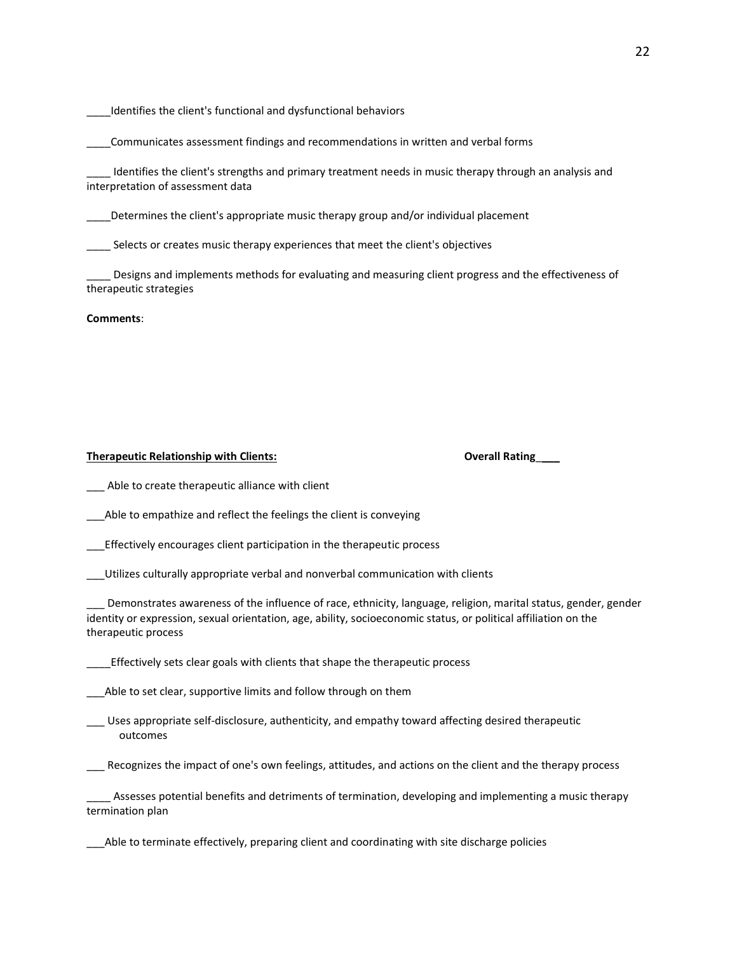Identifies the client's functional and dysfunctional behaviors

\_\_\_\_Communicates assessment findings and recommendations in written and verbal forms

Identifies the client's strengths and primary treatment needs in music therapy through an analysis and interpretation of assessment data

Determines the client's appropriate music therapy group and/or individual placement

\_\_\_\_ Selects or creates music therapy experiences that meet the client's objectives

\_\_\_\_ Designs and implements methods for evaluating and measuring client progress and the effectiveness of therapeutic strategies

**Comments**:

### **Therapeutic Relationship with Clients: Overall Rating**\_\_\_\_

Able to create therapeutic alliance with client

\_\_\_Able to empathize and reflect the feelings the client is conveying

\_\_\_Effectively encourages client participation in the therapeutic process

\_\_\_Utilizes culturally appropriate verbal and nonverbal communication with clients

Demonstrates awareness of the influence of race, ethnicity, language, religion, marital status, gender, gender identity or expression, sexual orientation, age, ability, socioeconomic status, or political affiliation on the therapeutic process

\_\_\_\_Effectively sets clear goals with clients that shape the therapeutic process

Able to set clear, supportive limits and follow through on them

\_\_\_ Uses appropriate self-disclosure, authenticity, and empathy toward affecting desired therapeutic outcomes

\_\_\_ Recognizes the impact of one's own feelings, attitudes, and actions on the client and the therapy process

Assesses potential benefits and detriments of termination, developing and implementing a music therapy termination plan

\_\_\_Able to terminate effectively, preparing client and coordinating with site discharge policies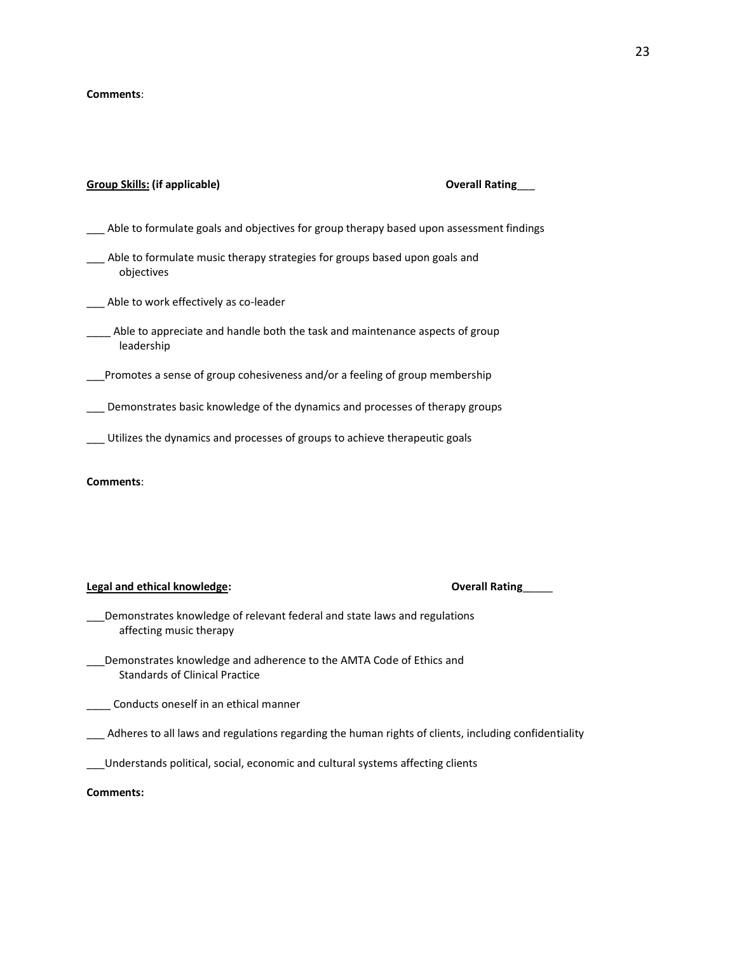#### **Comments**:

## **Group Skills: (if applicable) Overall Rating**\_\_\_

- Able to formulate goals and objectives for group therapy based upon assessment findings
- \_\_\_ Able to formulate music therapy strategies for groups based upon goals and objectives
- \_\_\_ Able to work effectively as co-leader
- \_\_\_\_ Able to appreciate and handle both the task and maintenance aspects of group leadership
- \_\_\_Promotes a sense of group cohesiveness and/or a feeling of group membership
- \_\_\_ Demonstrates basic knowledge of the dynamics and processes of therapy groups
- \_\_\_ Utilizes the dynamics and processes of groups to achieve therapeutic goals

#### **Comments**:

#### **Legal and ethical knowledge:**

|  |  | <b>Overall Rating</b> |
|--|--|-----------------------|
|--|--|-----------------------|

- \_\_\_Demonstrates knowledge of relevant federal and state laws and regulations affecting music therapy
- \_\_\_Demonstrates knowledge and adherence to the AMTA Code of Ethics and Standards of Clinical Practice

\_\_\_\_ Conducts oneself in an ethical manner

- Adheres to all laws and regulations regarding the human rights of clients, including confidentiality
- \_\_\_Understands political, social, economic and cultural systems affecting clients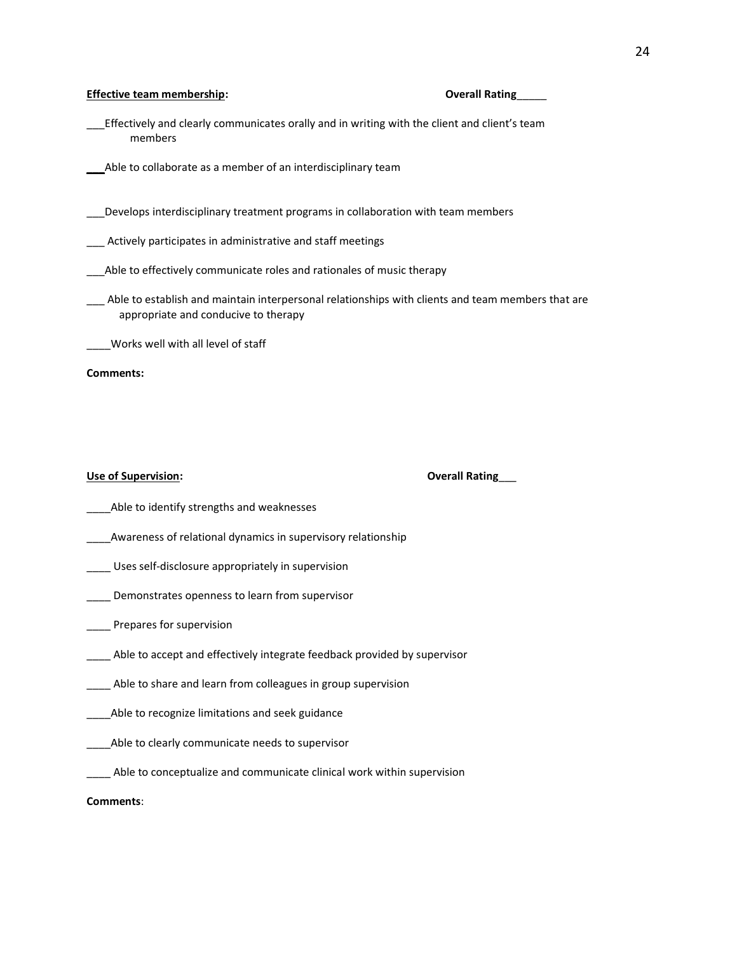#### **Effective team membership: Overall Rating**\_\_\_\_\_

- \_\_\_Effectively and clearly communicates orally and in writing with the client and client's team members
- Able to collaborate as a member of an interdisciplinary team
- \_\_\_Develops interdisciplinary treatment programs in collaboration with team members
- \_\_\_ Actively participates in administrative and staff meetings
- \_\_\_Able to effectively communicate roles and rationales of music therapy
- Able to establish and maintain interpersonal relationships with clients and team members that are appropriate and conducive to therapy

\_\_\_\_Works well with all level of staff

#### **Comments:**

## **Use of Supervision: Overall Rating**\_\_\_

- Able to identify strengths and weaknesses
- \_\_\_\_Awareness of relational dynamics in supervisory relationship
- \_\_\_\_ Uses self-disclosure appropriately in supervision
- **\_\_\_\_** Demonstrates openness to learn from supervisor
- Prepares for supervision
- \_\_\_\_ Able to accept and effectively integrate feedback provided by supervisor
- \_\_\_\_ Able to share and learn from colleagues in group supervision
- \_\_\_\_Able to recognize limitations and seek guidance
- Able to clearly communicate needs to supervisor
- \_\_\_\_ Able to conceptualize and communicate clinical work within supervision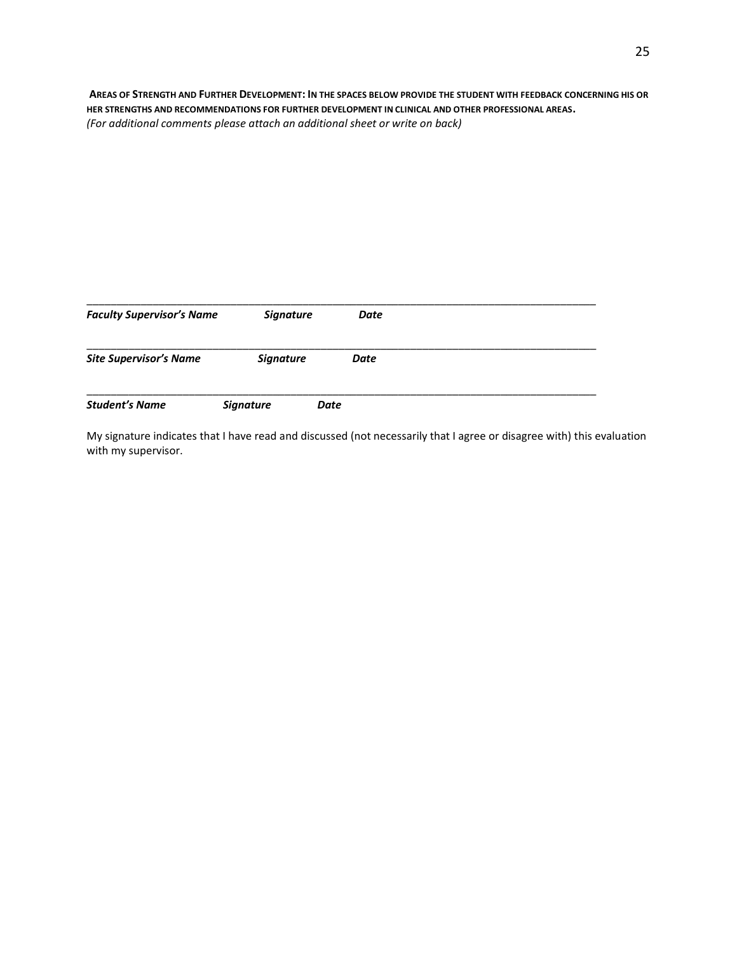**AREAS OF STRENGTH AND FURTHER DEVELOPMENT: IN THE SPACES BELOW PROVIDE THE STUDENT WITH FEEDBACK CONCERNING HIS OR HER STRENGTHS AND RECOMMENDATIONS FOR FURTHER DEVELOPMENT IN CLINICAL AND OTHER PROFESSIONAL AREAS.** *(For additional comments please attach an additional sheet or write on back)*

| <b>Faculty Supervisor's Name</b> | <b>Signature</b> |      | Date |  |  |
|----------------------------------|------------------|------|------|--|--|
| <b>Site Supervisor's Name</b>    | <b>Signature</b> |      | Date |  |  |
| <b>Student's Name</b>            | <b>Signature</b> | Date |      |  |  |

My signature indicates that I have read and discussed (not necessarily that I agree or disagree with) this evaluation with my supervisor.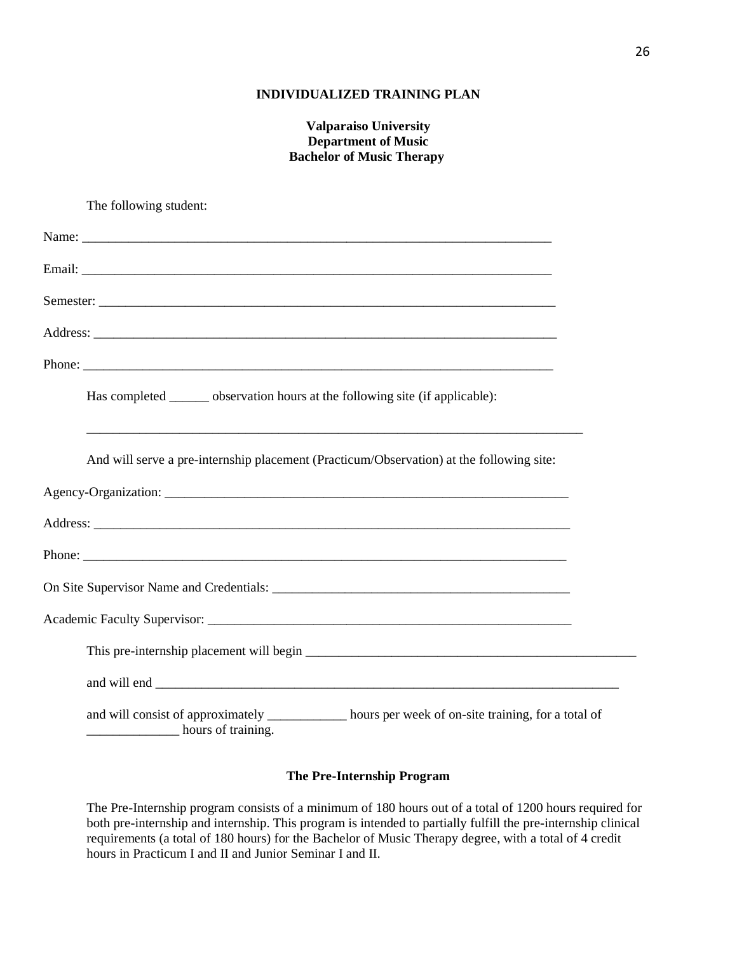# **INDIVIDUALIZED TRAINING PLAN**

# **Valparaiso University Department of Music Bachelor of Music Therapy**

The following student: Name: Email: Semester: Address: Phone: Has completed observation hours at the following site (if applicable): \_\_\_\_\_\_\_\_\_\_\_\_\_\_\_\_\_\_\_\_\_\_\_\_\_\_\_\_\_\_\_\_\_\_\_\_\_\_\_\_\_\_\_\_\_\_\_\_\_\_\_\_\_\_\_\_\_\_\_\_\_\_\_\_\_\_\_\_\_\_\_\_\_\_\_ And will serve a pre-internship placement (Practicum/Observation) at the following site: Agency-Organization: Address: Phone: On Site Supervisor Name and Credentials: \_\_\_\_\_\_\_\_\_\_\_\_\_\_\_\_\_\_\_\_\_\_\_\_\_\_\_\_\_\_\_\_\_\_\_\_\_\_\_\_\_\_\_\_\_ Academic Faculty Supervisor: \_\_\_\_\_\_\_\_\_\_\_\_\_\_\_\_\_\_\_\_\_\_\_\_\_\_\_\_\_\_\_\_\_\_\_\_\_\_\_\_\_\_\_\_\_\_\_\_\_\_\_\_\_\_\_ This pre-internship placement will begin  $\Box$ and will end and will consist of approximately \_\_\_\_\_\_\_\_\_\_\_ hours per week of on-site training, for a total of \_\_\_\_\_\_\_\_\_\_\_\_\_\_ hours of training.

# **The Pre-Internship Program**

The Pre-Internship program consists of a minimum of 180 hours out of a total of 1200 hours required for both pre-internship and internship. This program is intended to partially fulfill the pre-internship clinical requirements (a total of 180 hours) for the Bachelor of Music Therapy degree, with a total of 4 credit hours in Practicum I and II and Junior Seminar I and II.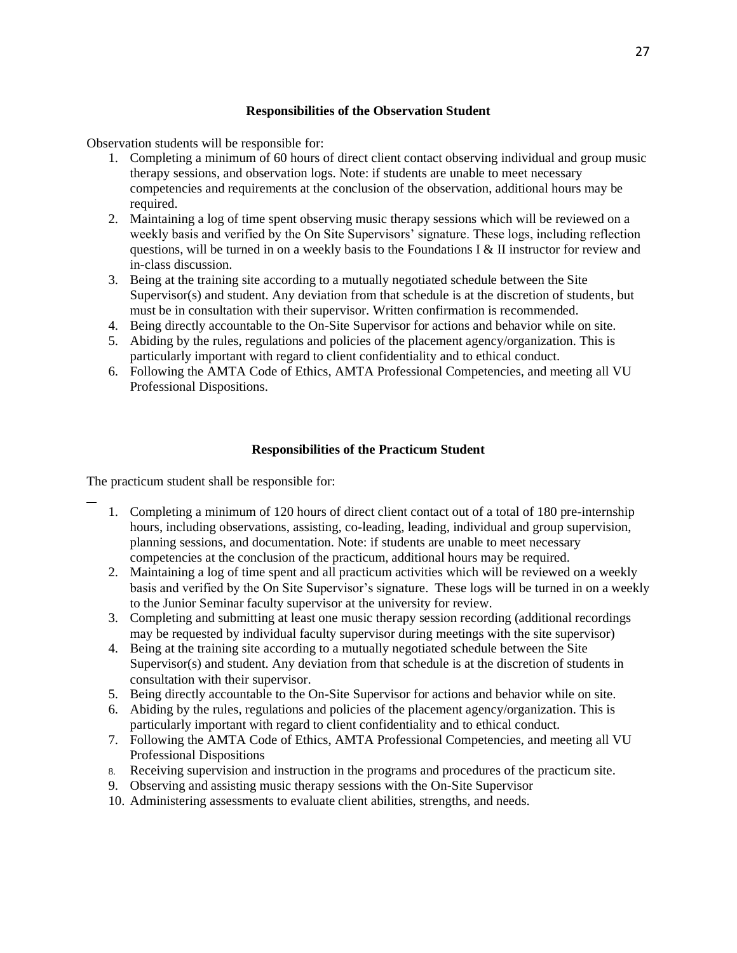# **Responsibilities of the Observation Student**

Observation students will be responsible for:

- 1. Completing a minimum of 60 hours of direct client contact observing individual and group music therapy sessions, and observation logs. Note: if students are unable to meet necessary competencies and requirements at the conclusion of the observation, additional hours may be required.
- 2. Maintaining a log of time spent observing music therapy sessions which will be reviewed on a weekly basis and verified by the On Site Supervisors' signature. These logs, including reflection questions, will be turned in on a weekly basis to the Foundations I & II instructor for review and in-class discussion.
- 3. Being at the training site according to a mutually negotiated schedule between the Site Supervisor(s) and student. Any deviation from that schedule is at the discretion of students, but must be in consultation with their supervisor. Written confirmation is recommended.
- 4. Being directly accountable to the On-Site Supervisor for actions and behavior while on site.
- 5. Abiding by the rules, regulations and policies of the placement agency/organization. This is particularly important with regard to client confidentiality and to ethical conduct.
- 6. Following the AMTA Code of Ethics, AMTA Professional Competencies, and meeting all VU Professional Dispositions.

# **Responsibilities of the Practicum Student**

The practicum student shall be responsible for:

- 1. Completing a minimum of 120 hours of direct client contact out of a total of 180 pre-internship hours, including observations, assisting, co-leading, leading, individual and group supervision, planning sessions, and documentation. Note: if students are unable to meet necessary competencies at the conclusion of the practicum, additional hours may be required.
- 2. Maintaining a log of time spent and all practicum activities which will be reviewed on a weekly basis and verified by the On Site Supervisor's signature. These logs will be turned in on a weekly to the Junior Seminar faculty supervisor at the university for review.
- 3. Completing and submitting at least one music therapy session recording (additional recordings may be requested by individual faculty supervisor during meetings with the site supervisor)
- 4. Being at the training site according to a mutually negotiated schedule between the Site Supervisor(s) and student. Any deviation from that schedule is at the discretion of students in consultation with their supervisor.
- 5. Being directly accountable to the On-Site Supervisor for actions and behavior while on site.
- 6. Abiding by the rules, regulations and policies of the placement agency/organization. This is particularly important with regard to client confidentiality and to ethical conduct.
- 7. Following the AMTA Code of Ethics, AMTA Professional Competencies, and meeting all VU Professional Dispositions
- 8. Receiving supervision and instruction in the programs and procedures of the practicum site.
- 9. Observing and assisting music therapy sessions with the On-Site Supervisor
- 10. Administering assessments to evaluate client abilities, strengths, and needs.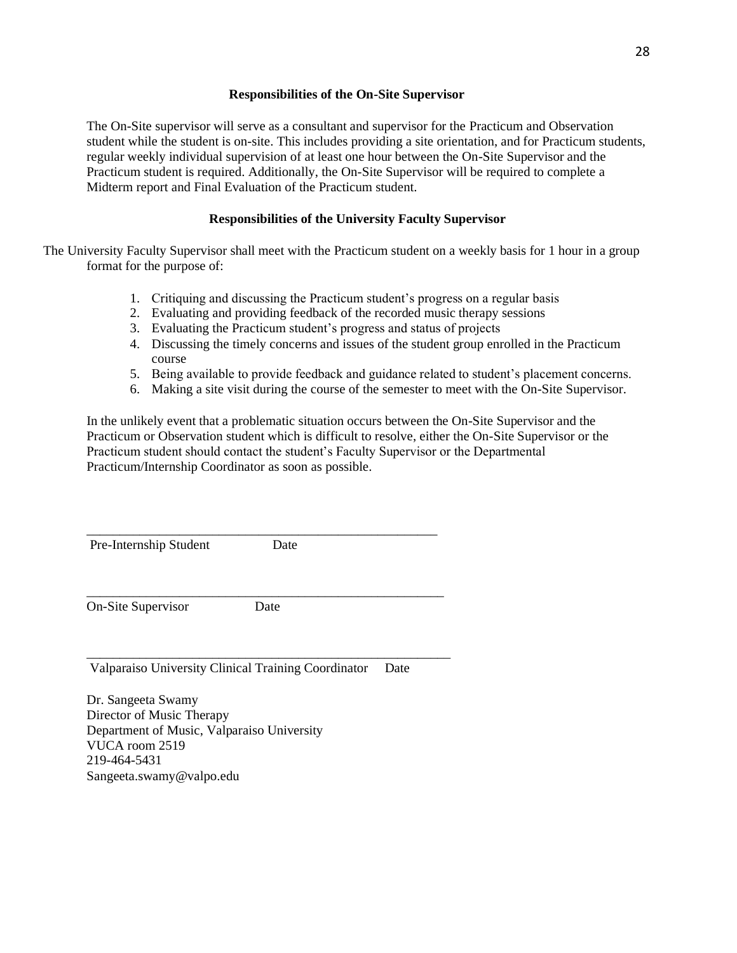# **Responsibilities of the On-Site Supervisor**

The On-Site supervisor will serve as a consultant and supervisor for the Practicum and Observation student while the student is on-site. This includes providing a site orientation, and for Practicum students, regular weekly individual supervision of at least one hour between the On-Site Supervisor and the Practicum student is required. Additionally, the On-Site Supervisor will be required to complete a Midterm report and Final Evaluation of the Practicum student.

# **Responsibilities of the University Faculty Supervisor**

The University Faculty Supervisor shall meet with the Practicum student on a weekly basis for 1 hour in a group format for the purpose of:

- 1. Critiquing and discussing the Practicum student's progress on a regular basis
- 2. Evaluating and providing feedback of the recorded music therapy sessions
- 3. Evaluating the Practicum student's progress and status of projects
- 4. Discussing the timely concerns and issues of the student group enrolled in the Practicum course
- 5. Being available to provide feedback and guidance related to student's placement concerns.
- 6. Making a site visit during the course of the semester to meet with the On-Site Supervisor.

In the unlikely event that a problematic situation occurs between the On-Site Supervisor and the Practicum or Observation student which is difficult to resolve, either the On-Site Supervisor or the Practicum student should contact the student's Faculty Supervisor or the Departmental Practicum/Internship Coordinator as soon as possible.

Pre-Internship Student Date

On-Site Supervisor Date

\_\_\_\_\_\_\_\_\_\_\_\_\_\_\_\_\_\_\_\_\_\_\_\_\_\_\_\_\_\_\_\_\_\_\_\_\_\_\_\_\_\_\_\_\_\_\_\_\_\_\_\_\_\_

\_\_\_\_\_\_\_\_\_\_\_\_\_\_\_\_\_\_\_\_\_\_\_\_\_\_\_\_\_\_\_\_\_\_\_\_\_\_\_\_\_\_\_\_\_\_\_\_\_\_\_\_\_\_\_

\_\_\_\_\_\_\_\_\_\_\_\_\_\_\_\_\_\_\_\_\_\_\_\_\_\_\_\_\_\_\_\_\_\_\_\_\_\_\_\_\_\_\_\_\_\_\_\_\_\_\_\_\_

Valparaiso University Clinical Training Coordinator Date

Dr. Sangeeta Swamy Director of Music Therapy Department of Music, Valparaiso University VUCA room 2519 219-464-5431 Sangeeta.swamy@valpo.edu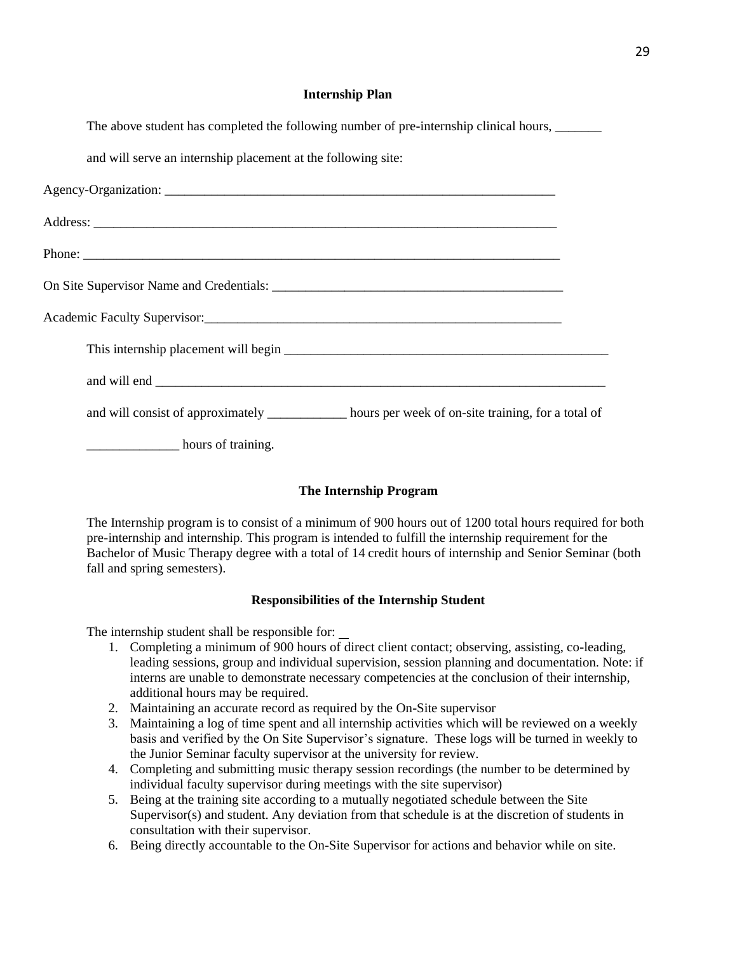## **Internship Plan**

The above student has completed the following number of pre-internship clinical hours,

and will serve an internship placement at the following site:

| and will consist of approximately ____________ hours per week of on-site training, for a total of |  |
|---------------------------------------------------------------------------------------------------|--|
| hours of training.                                                                                |  |

# **The Internship Program**

The Internship program is to consist of a minimum of 900 hours out of 1200 total hours required for both pre-internship and internship. This program is intended to fulfill the internship requirement for the Bachelor of Music Therapy degree with a total of 14 credit hours of internship and Senior Seminar (both fall and spring semesters).

## **Responsibilities of the Internship Student**

The internship student shall be responsible for:

- 1. Completing a minimum of 900 hours of direct client contact; observing, assisting, co-leading, leading sessions, group and individual supervision, session planning and documentation. Note: if interns are unable to demonstrate necessary competencies at the conclusion of their internship, additional hours may be required.
- 2. Maintaining an accurate record as required by the On-Site supervisor
- 3. Maintaining a log of time spent and all internship activities which will be reviewed on a weekly basis and verified by the On Site Supervisor's signature. These logs will be turned in weekly to the Junior Seminar faculty supervisor at the university for review.
- 4. Completing and submitting music therapy session recordings (the number to be determined by individual faculty supervisor during meetings with the site supervisor)
- 5. Being at the training site according to a mutually negotiated schedule between the Site Supervisor(s) and student. Any deviation from that schedule is at the discretion of students in consultation with their supervisor.
- 6. Being directly accountable to the On-Site Supervisor for actions and behavior while on site.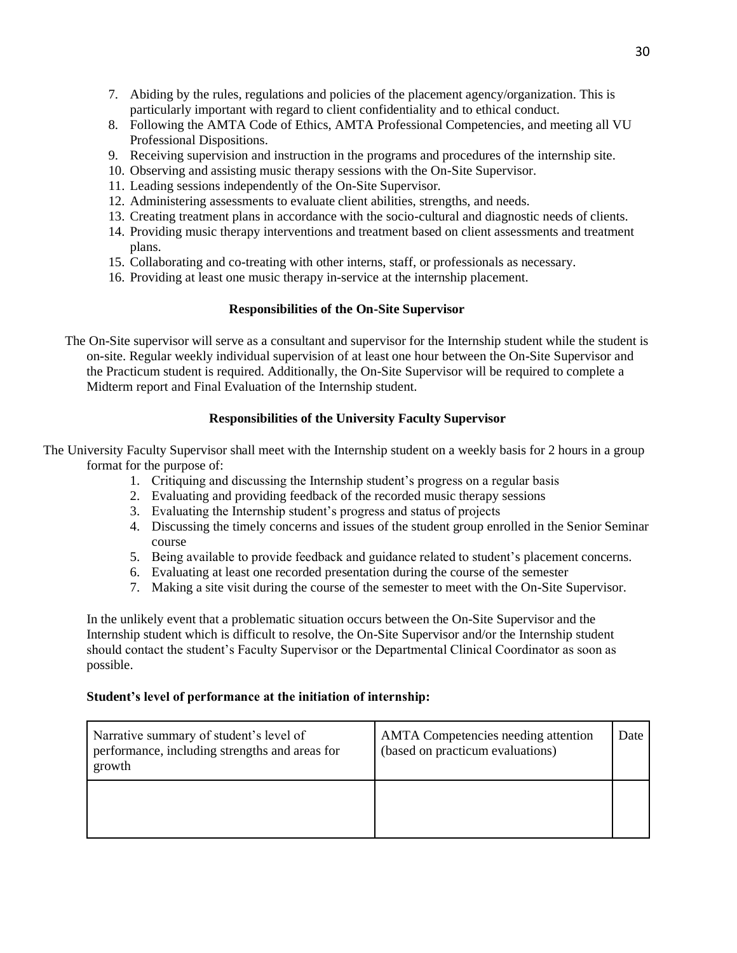- 7. Abiding by the rules, regulations and policies of the placement agency/organization. This is particularly important with regard to client confidentiality and to ethical conduct.
- 8. Following the AMTA Code of Ethics, AMTA Professional Competencies, and meeting all VU Professional Dispositions.
- 9. Receiving supervision and instruction in the programs and procedures of the internship site.
- 10. Observing and assisting music therapy sessions with the On-Site Supervisor.
- 11. Leading sessions independently of the On-Site Supervisor.
- 12. Administering assessments to evaluate client abilities, strengths, and needs.
- 13. Creating treatment plans in accordance with the socio-cultural and diagnostic needs of clients.
- 14. Providing music therapy interventions and treatment based on client assessments and treatment plans.
- 15. Collaborating and co-treating with other interns, staff, or professionals as necessary.
- 16. Providing at least one music therapy in-service at the internship placement.

# **Responsibilities of the On-Site Supervisor**

The On-Site supervisor will serve as a consultant and supervisor for the Internship student while the student is on-site. Regular weekly individual supervision of at least one hour between the On-Site Supervisor and the Practicum student is required. Additionally, the On-Site Supervisor will be required to complete a Midterm report and Final Evaluation of the Internship student.

# **Responsibilities of the University Faculty Supervisor**

The University Faculty Supervisor shall meet with the Internship student on a weekly basis for 2 hours in a group format for the purpose of:

- 1. Critiquing and discussing the Internship student's progress on a regular basis
- 2. Evaluating and providing feedback of the recorded music therapy sessions
- 3. Evaluating the Internship student's progress and status of projects
- 4. Discussing the timely concerns and issues of the student group enrolled in the Senior Seminar course
- 5. Being available to provide feedback and guidance related to student's placement concerns.
- 6. Evaluating at least one recorded presentation during the course of the semester
- 7. Making a site visit during the course of the semester to meet with the On-Site Supervisor.

In the unlikely event that a problematic situation occurs between the On-Site Supervisor and the Internship student which is difficult to resolve, the On-Site Supervisor and/or the Internship student should contact the student's Faculty Supervisor or the Departmental Clinical Coordinator as soon as possible.

# **Student's level of performance at the initiation of internship:**

| Narrative summary of student's level of<br>performance, including strengths and areas for<br>growth | <b>AMTA</b> Competencies needing attention<br>(based on practicum evaluations) | Date |
|-----------------------------------------------------------------------------------------------------|--------------------------------------------------------------------------------|------|
|                                                                                                     |                                                                                |      |